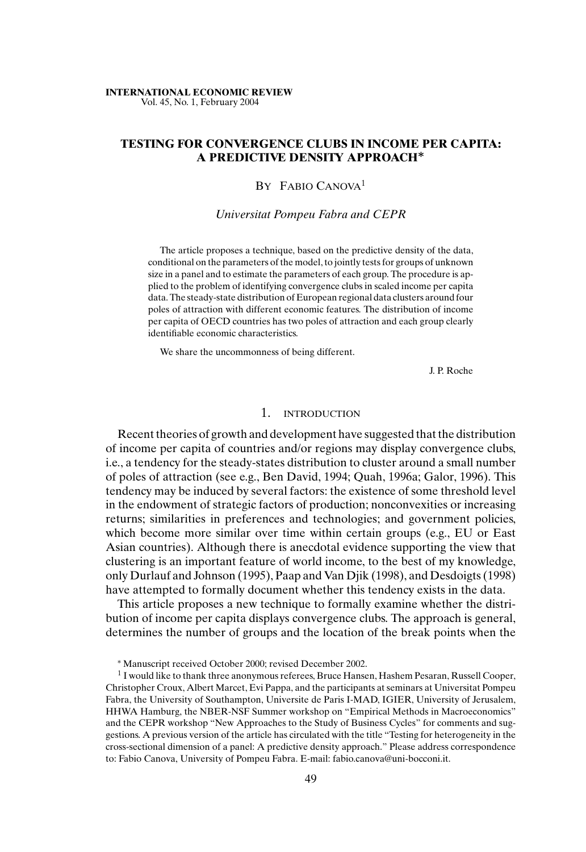#### **INTERNATIONAL ECONOMIC REVIEW** Vol. 45, No. 1, February 2004

# **TESTING FOR CONVERGENCE CLUBS IN INCOME PER CAPITA: A PREDICTIVE DENSITY APPROACH***∗*

# BY FABIO CANOVA<sup>1</sup>

### *Universitat Pompeu Fabra and CEPR*

The article proposes a technique, based on the predictive density of the data, conditional on the parameters of the model, to jointly tests for groups of unknown size in a panel and to estimate the parameters of each group. The procedure is applied to the problem of identifying convergence clubs in scaled income per capita data. The steady-state distribution of European regional data clusters around four poles of attraction with different economic features. The distribution of income per capita of OECD countries has two poles of attraction and each group clearly identifiable economic characteristics.

We share the uncommonness of being different.

J. P. Roche

### 1. INTRODUCTION

Recent theories of growth and development have suggested that the distribution of income per capita of countries and/or regions may display convergence clubs, i.e., a tendency for the steady-states distribution to cluster around a small number of poles of attraction (see e.g., Ben David, 1994; Quah, 1996a; Galor, 1996). This tendency may be induced by several factors: the existence of some threshold level in the endowment of strategic factors of production; nonconvexities or increasing returns; similarities in preferences and technologies; and government policies, which become more similar over time within certain groups (e.g., EU or East Asian countries). Although there is anecdotal evidence supporting the view that clustering is an important feature of world income, to the best of my knowledge, only Durlauf and Johnson (1995), Paap and Van Djik (1998), and Desdoigts (1998) have attempted to formally document whether this tendency exists in the data.

This article proposes a new technique to formally examine whether the distribution of income per capita displays convergence clubs. The approach is general, determines the number of groups and the location of the break points when the

<sup>∗</sup> Manuscript received October 2000; revised December 2002.

 $1$  I would like to thank three anonymous referees, Bruce Hansen, Hashem Pesaran, Russell Cooper, Christopher Croux, Albert Marcet, Evi Pappa, and the participants at seminars at Universitat Pompeu Fabra, the University of Southampton, Universite de Paris I-MAD, IGIER, University of Jerusalem, HHWA Hamburg, the NBER-NSF Summer workshop on "Empirical Methods in Macroeconomics" and the CEPR workshop "New Approaches to the Study of Business Cycles" for comments and suggestions. A previous version of the article has circulated with the title "Testing for heterogeneity in the cross-sectional dimension of a panel: A predictive density approach." Please address correspondence to: Fabio Canova, University of Pompeu Fabra. E-mail: fabio.canova@uni-bocconi.it.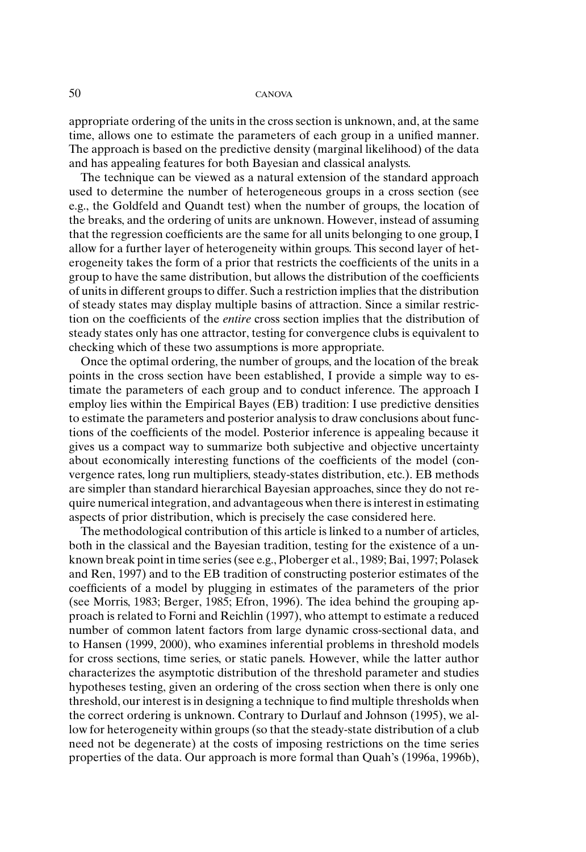appropriate ordering of the units in the cross section is unknown, and, at the same time, allows one to estimate the parameters of each group in a unified manner. The approach is based on the predictive density (marginal likelihood) of the data and has appealing features for both Bayesian and classical analysts.

The technique can be viewed as a natural extension of the standard approach used to determine the number of heterogeneous groups in a cross section (see e.g., the Goldfeld and Quandt test) when the number of groups, the location of the breaks, and the ordering of units are unknown. However, instead of assuming that the regression coefficients are the same for all units belonging to one group, I allow for a further layer of heterogeneity within groups. This second layer of heterogeneity takes the form of a prior that restricts the coefficients of the units in a group to have the same distribution, but allows the distribution of the coefficients of units in different groups to differ. Such a restriction implies that the distribution of steady states may display multiple basins of attraction. Since a similar restriction on the coefficients of the *entire* cross section implies that the distribution of steady states only has one attractor, testing for convergence clubs is equivalent to checking which of these two assumptions is more appropriate.

Once the optimal ordering, the number of groups, and the location of the break points in the cross section have been established, I provide a simple way to estimate the parameters of each group and to conduct inference. The approach I employ lies within the Empirical Bayes (EB) tradition: I use predictive densities to estimate the parameters and posterior analysis to draw conclusions about functions of the coefficients of the model. Posterior inference is appealing because it gives us a compact way to summarize both subjective and objective uncertainty about economically interesting functions of the coefficients of the model (convergence rates, long run multipliers, steady-states distribution, etc.). EB methods are simpler than standard hierarchical Bayesian approaches, since they do not require numerical integration, and advantageous when there is interest in estimating aspects of prior distribution, which is precisely the case considered here.

The methodological contribution of this article is linked to a number of articles, both in the classical and the Bayesian tradition, testing for the existence of a unknown break point in time series (see e.g., Ploberger et al., 1989; Bai, 1997; Polasek and Ren, 1997) and to the EB tradition of constructing posterior estimates of the coefficients of a model by plugging in estimates of the parameters of the prior (see Morris, 1983; Berger, 1985; Efron, 1996). The idea behind the grouping approach is related to Forni and Reichlin (1997), who attempt to estimate a reduced number of common latent factors from large dynamic cross-sectional data, and to Hansen (1999, 2000), who examines inferential problems in threshold models for cross sections, time series, or static panels. However, while the latter author characterizes the asymptotic distribution of the threshold parameter and studies hypotheses testing, given an ordering of the cross section when there is only one threshold, our interest is in designing a technique to find multiple thresholds when the correct ordering is unknown. Contrary to Durlauf and Johnson (1995), we allow for heterogeneity within groups (so that the steady-state distribution of a club need not be degenerate) at the costs of imposing restrictions on the time series properties of the data. Our approach is more formal than Quah's (1996a, 1996b),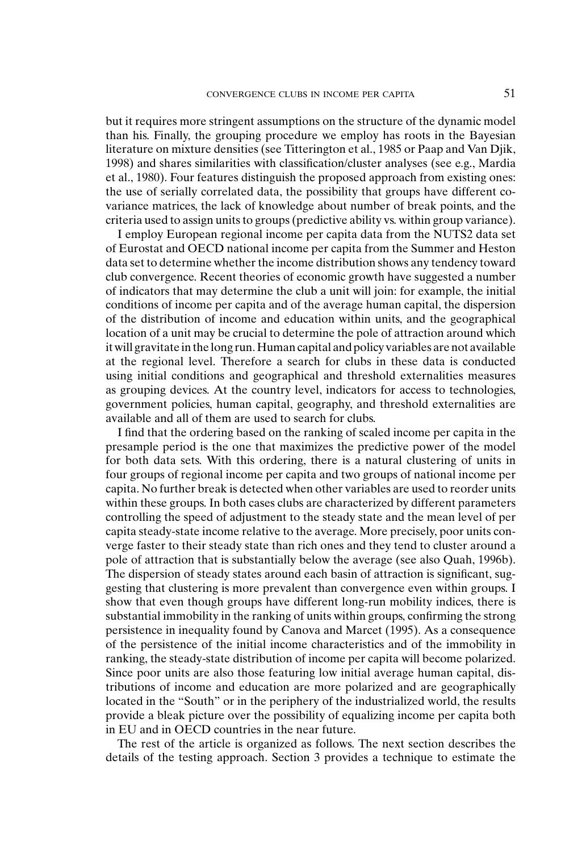but it requires more stringent assumptions on the structure of the dynamic model than his. Finally, the grouping procedure we employ has roots in the Bayesian literature on mixture densities (see Titterington et al., 1985 or Paap and Van Djik, 1998) and shares similarities with classification/cluster analyses (see e.g., Mardia et al., 1980). Four features distinguish the proposed approach from existing ones: the use of serially correlated data, the possibility that groups have different covariance matrices, the lack of knowledge about number of break points, and the criteria used to assign units to groups (predictive ability vs. within group variance).

I employ European regional income per capita data from the NUTS2 data set of Eurostat and OECD national income per capita from the Summer and Heston data set to determine whether the income distribution shows any tendency toward club convergence. Recent theories of economic growth have suggested a number of indicators that may determine the club a unit will join: for example, the initial conditions of income per capita and of the average human capital, the dispersion of the distribution of income and education within units, and the geographical location of a unit may be crucial to determine the pole of attraction around which it will gravitate in the long run. Human capital and policy variables are not available at the regional level. Therefore a search for clubs in these data is conducted using initial conditions and geographical and threshold externalities measures as grouping devices. At the country level, indicators for access to technologies, government policies, human capital, geography, and threshold externalities are available and all of them are used to search for clubs.

I find that the ordering based on the ranking of scaled income per capita in the presample period is the one that maximizes the predictive power of the model for both data sets. With this ordering, there is a natural clustering of units in four groups of regional income per capita and two groups of national income per capita. No further break is detected when other variables are used to reorder units within these groups. In both cases clubs are characterized by different parameters controlling the speed of adjustment to the steady state and the mean level of per capita steady-state income relative to the average. More precisely, poor units converge faster to their steady state than rich ones and they tend to cluster around a pole of attraction that is substantially below the average (see also Quah, 1996b). The dispersion of steady states around each basin of attraction is significant, suggesting that clustering is more prevalent than convergence even within groups. I show that even though groups have different long-run mobility indices, there is substantial immobility in the ranking of units within groups, confirming the strong persistence in inequality found by Canova and Marcet (1995). As a consequence of the persistence of the initial income characteristics and of the immobility in ranking, the steady-state distribution of income per capita will become polarized. Since poor units are also those featuring low initial average human capital, distributions of income and education are more polarized and are geographically located in the "South" or in the periphery of the industrialized world, the results provide a bleak picture over the possibility of equalizing income per capita both in EU and in OECD countries in the near future.

The rest of the article is organized as follows. The next section describes the details of the testing approach. Section 3 provides a technique to estimate the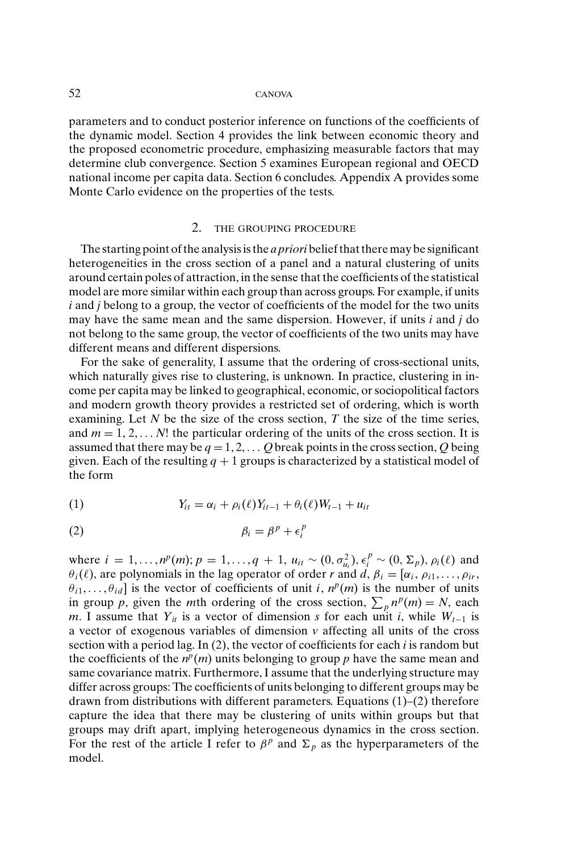parameters and to conduct posterior inference on functions of the coefficients of the dynamic model. Section 4 provides the link between economic theory and the proposed econometric procedure, emphasizing measurable factors that may determine club convergence. Section 5 examines European regional and OECD national income per capita data. Section 6 concludes. Appendix A provides some Monte Carlo evidence on the properties of the tests.

#### 2. THE GROUPING PROCEDURE

The starting point of the analysis is the *a priori* belief that there may be significant heterogeneities in the cross section of a panel and a natural clustering of units around certain poles of attraction, in the sense that the coefficients of the statistical model are more similar within each group than across groups. For example, if units *i* and *j* belong to a group, the vector of coefficients of the model for the two units may have the same mean and the same dispersion. However, if units *i* and *j* do not belong to the same group, the vector of coefficients of the two units may have different means and different dispersions.

For the sake of generality, I assume that the ordering of cross-sectional units, which naturally gives rise to clustering, is unknown. In practice, clustering in income per capita may be linked to geographical, economic, or sociopolitical factors and modern growth theory provides a restricted set of ordering, which is worth examining. Let *N* be the size of the cross section, *T* the size of the time series, and  $m = 1, 2, \ldots N!$  the particular ordering of the units of the cross section. It is assumed that there may be  $q = 1, 2, \ldots$  *Q* break points in the cross section, *Q* being given. Each of the resulting  $q + 1$  groups is characterized by a statistical model of the form

(1) 
$$
Y_{it} = \alpha_i + \rho_i(\ell)Y_{it-1} + \theta_i(\ell)W_{t-1} + u_{it}
$$

$$
\beta_i = \beta^p + \epsilon_i^p
$$

where  $i = 1, ..., n^p(m)$ ;  $p = 1, ..., q + 1$ ,  $u_{it} \sim (0, \sigma_{u_i}^2), \epsilon_i^p \sim (0, \Sigma_p), \rho_i(\ell)$  and  $\theta_i(\ell)$ , are polynomials in the lag operator of order *r* and *d*,  $\beta_i = [\alpha_i, \rho_{i1}, \dots, \rho_{ir}]$  $\theta_{i1}, \ldots, \theta_{id}$  is the vector of coefficients of unit *i*,  $n^p(m)$  is the number of units in group *p*, given the *m*th ordering of the cross section,  $\sum_{p} n^p(m) = N$ , each *m*. I assume that  $Y_{it}$  is a vector of dimension *s* for each unit *i*, while  $W_{t-1}$  is a vector of exogenous variables of dimension *v* affecting all units of the cross section with a period lag. In (2), the vector of coefficients for each *i* is random but the coefficients of the  $n^p(m)$  units belonging to group p have the same mean and same covariance matrix. Furthermore, I assume that the underlying structure may differ across groups: The coefficients of units belonging to different groups may be drawn from distributions with different parameters. Equations (1)–(2) therefore capture the idea that there may be clustering of units within groups but that groups may drift apart, implying heterogeneous dynamics in the cross section. For the rest of the article I refer to  $\beta^p$  and  $\Sigma_p$  as the hyperparameters of the model.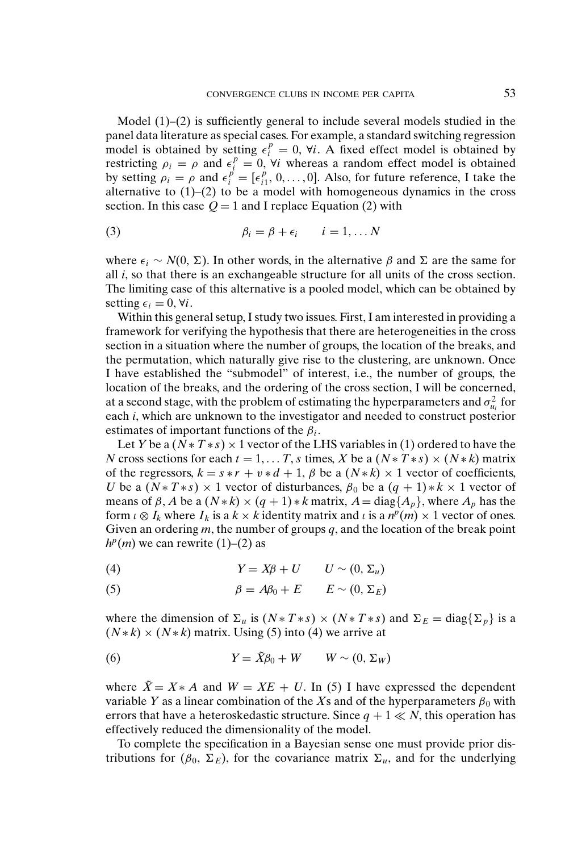Model  $(1)$ – $(2)$  is sufficiently general to include several models studied in the panel data literature as special cases. For example, a standard switching regression model is obtained by setting  $\epsilon_i^p = 0$ ,  $\forall i$ . A fixed effect model is obtained by restricting  $\rho_i = \rho$  and  $\epsilon_i^p = 0$ ,  $\forall i$  whereas a random effect model is obtained by setting  $\rho_i = \rho$  and  $\epsilon_i^{\vec{p}} = [\epsilon_{i1}^{\vec{p}}, 0, \dots, 0]$ . Also, for future reference, I take the alternative to  $(1)$ – $(2)$  to be a model with homogeneous dynamics in the cross section. In this case  $Q = 1$  and I replace Equation (2) with

(3) 
$$
\beta_i = \beta + \epsilon_i \qquad i = 1, \dots N
$$

where  $\epsilon_i \sim N(0, \Sigma)$ . In other words, in the alternative  $\beta$  and  $\Sigma$  are the same for all *i*, so that there is an exchangeable structure for all units of the cross section. The limiting case of this alternative is a pooled model, which can be obtained by setting  $\epsilon_i = 0, \forall i$ .

Within this general setup, I study two issues. First, I am interested in providing a framework for verifying the hypothesis that there are heterogeneities in the cross section in a situation where the number of groups, the location of the breaks, and the permutation, which naturally give rise to the clustering, are unknown. Once I have established the "submodel" of interest, i.e., the number of groups, the location of the breaks, and the ordering of the cross section, I will be concerned, at a second stage, with the problem of estimating the hyperparameters and  $\sigma_{u_i}^2$  for each *i*, which are unknown to the investigator and needed to construct posterior estimates of important functions of the  $\beta_i$ .

Let *Y* be a  $(N * T * s) \times 1$  vector of the LHS variables in (1) ordered to have the *N* cross sections for each  $t = 1, \ldots T$ , *s* times, *X* be a  $(N * T * s) \times (N * k)$  matrix of the regressors,  $k = s * r + v * d + 1$ ,  $\beta$  be a  $(N * k) \times 1$  vector of coefficients, *U* be a  $(N * T * s) \times 1$  vector of disturbances,  $\beta_0$  be a  $(q + 1) * k \times 1$  vector of means of  $\beta$ , *A* be a  $(N*k) \times (q+1) * k$  matrix,  $A = \text{diag}\{A_p\}$ , where  $A_p$  has the form  $\iota \otimes I_k$  where  $I_k$  is a  $k \times k$  identity matrix and  $\iota$  is a  $n^p(m) \times 1$  vector of ones. Given an ordering *m*, the number of groups *q*, and the location of the break point  $h^p(m)$  we can rewrite (1)–(2) as

$$
(4) \t Y = X\beta + U \t U \sim (0, \Sigma_u)
$$

(5) 
$$
\beta = A\beta_0 + E \qquad E \sim (0, \Sigma_E)
$$

where the dimension of  $\Sigma_u$  is  $(N * T * s) \times (N * T * s)$  and  $\Sigma_E = \text{diag}\{\Sigma_p\}$  is a  $(N*k) \times (N*k)$  matrix. Using (5) into (4) we arrive at

(6) 
$$
Y = \tilde{X}\beta_0 + W \qquad W \sim (0, \Sigma_W)
$$

where  $\tilde{X} = X \times A$  and  $W = XE + U$ . In (5) I have expressed the dependent variable *Y* as a linear combination of the *X*s and of the hyperparameters  $\beta_0$  with errors that have a heteroskedastic structure. Since  $q + 1 \ll N$ , this operation has effectively reduced the dimensionality of the model.

To complete the specification in a Bayesian sense one must provide prior distributions for  $(\beta_0, \Sigma_E)$ , for the covariance matrix  $\Sigma_u$ , and for the underlying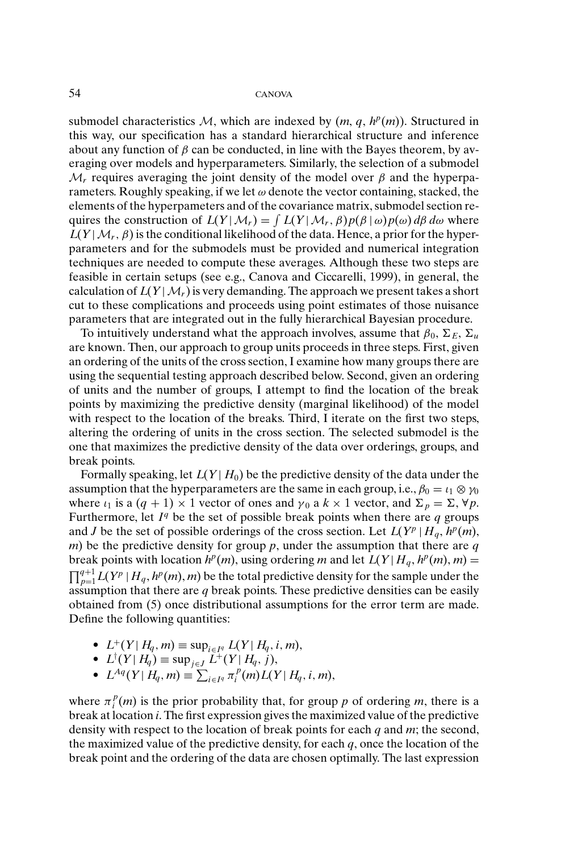submodel characteristics M, which are indexed by  $(m, q, h^p(m))$ . Structured in this way, our specification has a standard hierarchical structure and inference about any function of  $\beta$  can be conducted, in line with the Bayes theorem, by averaging over models and hyperparameters. Similarly, the selection of a submodel  $M_r$  requires averaging the joint density of the model over  $\beta$  and the hyperparameters. Roughly speaking, if we let  $\omega$  denote the vector containing, stacked, the elements of the hyperpameters and of the covariance matrix, submodel section requires the construction of  $L(Y|M_r) = \int L(Y|M_r, \beta)p(\beta|\omega)p(\omega) d\beta d\omega$  where  $L(Y|M_r, \beta)$  is the conditional likelihood of the data. Hence, a prior for the hyperparameters and for the submodels must be provided and numerical integration techniques are needed to compute these averages. Although these two steps are feasible in certain setups (see e.g., Canova and Ciccarelli, 1999), in general, the calculation of  $L(Y|M_r)$  is very demanding. The approach we present takes a short cut to these complications and proceeds using point estimates of those nuisance parameters that are integrated out in the fully hierarchical Bayesian procedure.

To intuitively understand what the approach involves, assume that  $\beta_0$ ,  $\Sigma_E$ ,  $\Sigma_u$ are known. Then, our approach to group units proceeds in three steps. First, given an ordering of the units of the cross section, I examine how many groups there are using the sequential testing approach described below. Second, given an ordering of units and the number of groups, I attempt to find the location of the break points by maximizing the predictive density (marginal likelihood) of the model with respect to the location of the breaks. Third, I iterate on the first two steps, altering the ordering of units in the cross section. The selected submodel is the one that maximizes the predictive density of the data over orderings, groups, and break points.

Formally speaking, let  $L(Y|H_0)$  be the predictive density of the data under the assumption that the hyperparameters are the same in each group, i.e.,  $\beta_0 = \iota_1 \otimes \gamma_0$ where  $\iota_1$  is a  $(q + 1) \times 1$  vector of ones and  $\gamma_0$  a  $k \times 1$  vector, and  $\Sigma_p = \Sigma$ ,  $\forall p$ . Furthermore, let  $I<sup>q</sup>$  be the set of possible break points when there are *q* groups and *J* be the set of possible orderings of the cross section. Let  $L(Y^p | H_a, h^p(m))$ , *m*) be the predictive density for group *p*, under the assumption that there are *q* break points with location  $h^p(m)$ , using ordering *m* and let  $L(Y|H_q, h^p(m), m) =$  $\prod_{p=1}^{q+1} L(Y^p \mid H_q, h^p(m), m)$  be the total predictive density for the sample under the assumption that there are *q* break points. These predictive densities can be easily obtained from (5) once distributional assumptions for the error term are made. Define the following quantities:

- *L*<sup>+</sup>(*Y*| *H<sub>q</sub>*, *m*) ≡ sup<sub>*i*∈*Iq*</sub> *L*(*Y*| *H<sub>q</sub>*, *i*, *m*),  $L$ <sup>†</sup>(*Y*| *H<sub>q</sub>*</sub>) ≡ sup<sub>*i*∈*I*</sub> *L*<sup>+</sup>(*Y*| *H<sub>q</sub>*, *j*),
- 
- $\mathcal{L}^{\dagger}(Y | H_q) \equiv \sup_{j \in J} L^{\dagger}(Y | H_q, j),$ <br>  $\mathcal{L}^{Aq}(Y | H_q, m) \equiv \sum_{i \in I^q} \pi_i^p(m) L(Y)$  $\sum_{i \in I^q} \pi_i^p(m) L(Y | H_q, i, m),$

where  $\pi_i^p(m)$  is the prior probability that, for group *p* of ordering *m*, there is a break at location *i*. The first expression gives the maximized value of the predictive density with respect to the location of break points for each *q* and *m*; the second, the maximized value of the predictive density, for each *q*, once the location of the break point and the ordering of the data are chosen optimally. The last expression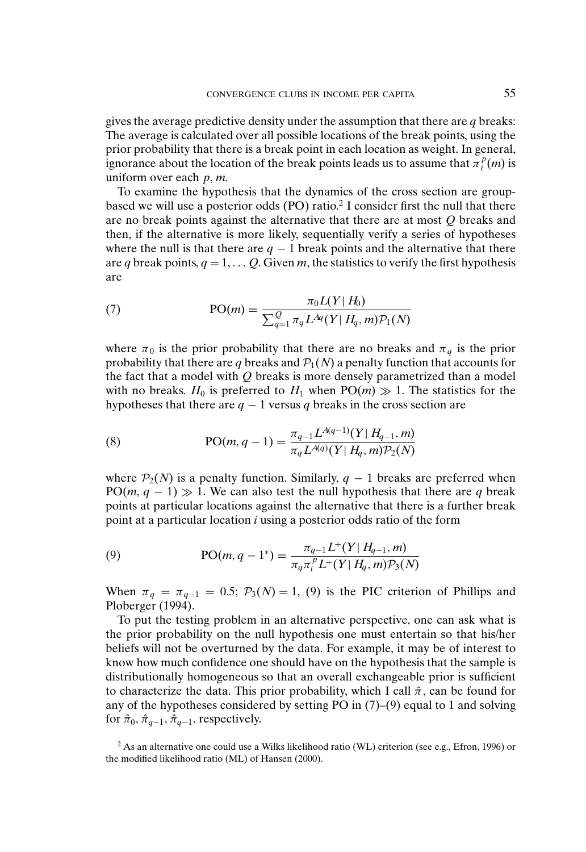gives the average predictive density under the assumption that there are *q* breaks: The average is calculated over all possible locations of the break points, using the prior probability that there is a break point in each location as weight. In general, ignorance about the location of the break points leads us to assume that  $\pi_i^p(m)$  is uniform over each *p*, *m*.

To examine the hypothesis that the dynamics of the cross section are groupbased we will use a posterior odds  $(PO)$  ratio.<sup>2</sup> I consider first the null that there are no break points against the alternative that there are at most *Q* breaks and then, if the alternative is more likely, sequentially verify a series of hypotheses where the null is that there are  $q - 1$  break points and the alternative that there are *q* break points,  $q = 1, \ldots, O$ . Given *m*, the statistics to verify the first hypothesis are

(7) 
$$
PO(m) = \frac{\pi_0 L(Y | H_0)}{\sum_{q=1}^{Q} \pi_q L^{Aq}(Y | H_q, m) \mathcal{P}_1(N)}
$$

where  $\pi_0$  is the prior probability that there are no breaks and  $\pi_q$  is the prior probability that there are q breaks and  $P_1(N)$  a penalty function that accounts for the fact that a model with *Q* breaks is more densely parametrized than a model with no breaks.  $H_0$  is preferred to  $H_1$  when  $PO(m) \gg 1$ . The statistics for the hypotheses that there are  $q - 1$  versus q breaks in the cross section are

(8) 
$$
PO(m, q-1) = \frac{\pi_{q-1} L^{A(q-1)}(Y | H_{q-1}, m)}{\pi_q L^{A(q)}(Y | H_q, m) \mathcal{P}_2(N)}
$$

where  $P_2(N)$  is a penalty function. Similarly,  $q-1$  breaks are preferred when  $PO(m, q - 1) \gg 1$ . We can also test the null hypothesis that there are *q* break points at particular locations against the alternative that there is a further break point at a particular location *i* using a posterior odds ratio of the form

(9) 
$$
PO(m, q-1^*) = \frac{\pi_{q-1}L^+(Y|H_{q-1}, m)}{\pi_q \pi_i^p L^+(Y|H_q, m) \mathcal{P}_3(N)}
$$

When  $\pi_q = \pi_{q-1} = 0.5$ ;  $\mathcal{P}_3(N) = 1$ , (9) is the PIC criterion of Phillips and Ploberger (1994).

To put the testing problem in an alternative perspective, one can ask what is the prior probability on the null hypothesis one must entertain so that his/her beliefs will not be overturned by the data. For example, it may be of interest to know how much confidence one should have on the hypothesis that the sample is distributionally homogeneous so that an overall exchangeable prior is sufficient to characterize the data. This prior probability, which I call  $\hat{\pi}$ , can be found for any of the hypotheses considered by setting PO in (7)–(9) equal to 1 and solving for  $\hat{\pi}_0$ ,  $\hat{\pi}_{q-1}$ ,  $\hat{\pi}_{q-1}$ , respectively.

 $2$  As an alternative one could use a Wilks likelihood ratio (WL) criterion (see e.g., Efron, 1996) or the modified likelihood ratio (ML) of Hansen (2000).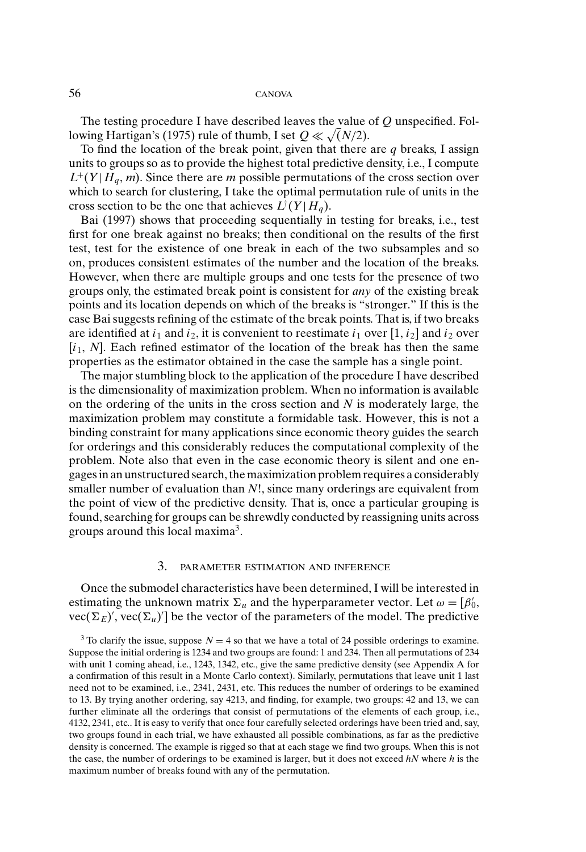The testing procedure I have described leaves the value of *Q* unspecified. Following Hartigan's (1975) rule of thumb, I set  $Q \ll \sqrt(N/2)$ .

To find the location of the break point, given that there are *q* breaks, I assign units to groups so as to provide the highest total predictive density, i.e., I compute  $L^+(Y|H_q, m)$ . Since there are *m* possible permutations of the cross section over which to search for clustering, I take the optimal permutation rule of units in the cross section to be the one that achieves  $L^{\dagger}(Y|H_q)$ .

Bai (1997) shows that proceeding sequentially in testing for breaks, i.e., test first for one break against no breaks; then conditional on the results of the first test, test for the existence of one break in each of the two subsamples and so on, produces consistent estimates of the number and the location of the breaks. However, when there are multiple groups and one tests for the presence of two groups only, the estimated break point is consistent for *any* of the existing break points and its location depends on which of the breaks is "stronger." If this is the case Bai suggests refining of the estimate of the break points. That is, if two breaks are identified at  $i_1$  and  $i_2$ , it is convenient to reestimate  $i_1$  over  $[1, i_2]$  and  $i_2$  over  $[i_1, N]$ . Each refined estimator of the location of the break has then the same properties as the estimator obtained in the case the sample has a single point.

The major stumbling block to the application of the procedure I have described is the dimensionality of maximization problem. When no information is available on the ordering of the units in the cross section and *N* is moderately large, the maximization problem may constitute a formidable task. However, this is not a binding constraint for many applications since economic theory guides the search for orderings and this considerably reduces the computational complexity of the problem. Note also that even in the case economic theory is silent and one engages in an unstructured search, the maximization problem requires a considerably smaller number of evaluation than *N*!, since many orderings are equivalent from the point of view of the predictive density. That is, once a particular grouping is found, searching for groups can be shrewdly conducted by reassigning units across groups around this local maxima3.

## 3. PARAMETER ESTIMATION AND INFERENCE

Once the submodel characteristics have been determined, I will be interested in estimating the unknown matrix  $\Sigma_u$  and the hyperparameter vector. Let  $\omega = [\beta'_0, \beta'_1, \dots, \beta'_u]$  $vec(\Sigma_E)'$ ,  $vec(\Sigma_u)'$  be the vector of the parameters of the model. The predictive

<sup>&</sup>lt;sup>3</sup> To clarify the issue, suppose  $N = 4$  so that we have a total of 24 possible orderings to examine. Suppose the initial ordering is 1234 and two groups are found: 1 and 234. Then all permutations of 234 with unit 1 coming ahead, i.e., 1243, 1342, etc., give the same predictive density (see Appendix A for a confirmation of this result in a Monte Carlo context). Similarly, permutations that leave unit 1 last need not to be examined, i.e., 2341, 2431, etc. This reduces the number of orderings to be examined to 13. By trying another ordering, say 4213, and finding, for example, two groups: 42 and 13, we can further eliminate all the orderings that consist of permutations of the elements of each group, i.e., 4132, 2341, etc.. It is easy to verify that once four carefully selected orderings have been tried and, say, two groups found in each trial, we have exhausted all possible combinations, as far as the predictive density is concerned. The example is rigged so that at each stage we find two groups. When this is not the case, the number of orderings to be examined is larger, but it does not exceed *hN* where *h* is the maximum number of breaks found with any of the permutation.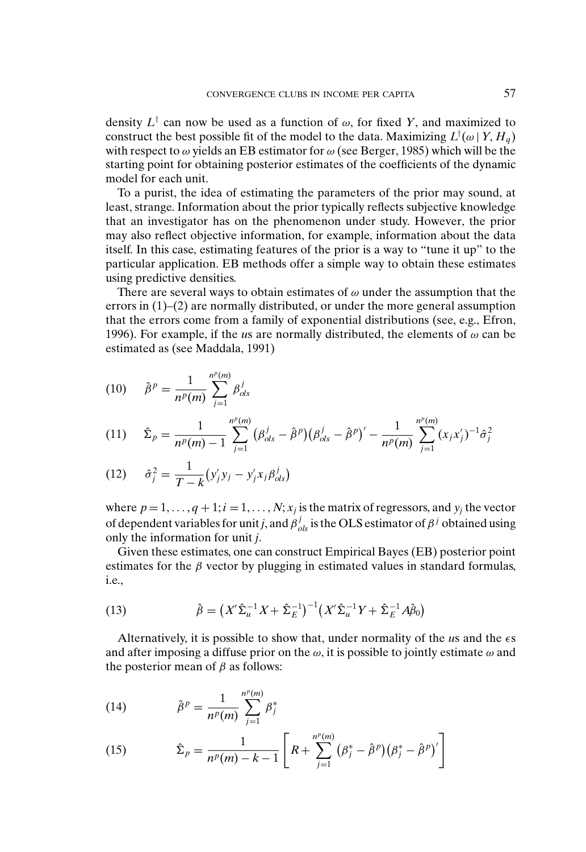density  $L^{\dagger}$  can now be used as a function of  $\omega$ , for fixed *Y*, and maximized to construct the best possible fit of the model to the data. Maximizing  $L^{\dagger}(\omega | Y, H_q)$ with respect to  $\omega$  yields an EB estimator for  $\omega$  (see Berger, 1985) which will be the starting point for obtaining posterior estimates of the coefficients of the dynamic model for each unit.

To a purist, the idea of estimating the parameters of the prior may sound, at least, strange. Information about the prior typically reflects subjective knowledge that an investigator has on the phenomenon under study. However, the prior may also reflect objective information, for example, information about the data itself. In this case, estimating features of the prior is a way to "tune it up" to the particular application. EB methods offer a simple way to obtain these estimates using predictive densities.

There are several ways to obtain estimates of  $\omega$  under the assumption that the errors in (1)–(2) are normally distributed, or under the more general assumption that the errors come from a family of exponential distributions (see, e.g., Efron, 1996). For example, if the *us* are normally distributed, the elements of  $\omega$  can be estimated as (see Maddala, 1991)

(10) 
$$
\hat{\beta}^p = \frac{1}{n^p(m)} \sum_{j=1}^{n^p(m)} \beta_{ols}^j
$$

$$
(11) \quad \hat{\Sigma}_p = \frac{1}{n^p(m)-1} \sum_{j=1}^{n^p(m)} (\beta_{ols}^j - \hat{\beta}^p)(\beta_{ols}^j - \hat{\beta}^p)' - \frac{1}{n^p(m)} \sum_{j=1}^{n^p(m)} (x_j x'_j)^{-1} \hat{\sigma}_j^2
$$

(12) 
$$
\hat{\sigma}_j^2 = \frac{1}{T - k} (y_j' y_j - y_j' x_j \beta_{ols}^j)
$$

where  $p = 1, \ldots, q + 1; i = 1, \ldots, N; x_j$  is the matrix of regressors, and  $y_j$  the vector of dependent variables for unit *j*, and  $\beta_{ols}^j$  is the OLS estimator of  $\beta^j$  obtained using only the information for unit *j*.

Given these estimates, one can construct Empirical Bayes (EB) posterior point estimates for the  $\beta$  vector by plugging in estimated values in standard formulas, i.e.,

(13) 
$$
\hat{\beta} = (X'\hat{\Sigma}_u^{-1}X + \hat{\Sigma}_E^{-1})^{-1}(X'\hat{\Sigma}_u^{-1}Y + \hat{\Sigma}_E^{-1}A\hat{\beta}_0)
$$

Alternatively, it is possible to show that, under normality of the *u*s and the s and after imposing a diffuse prior on the  $\omega$ , it is possible to jointly estimate  $\omega$  and the posterior mean of  $\beta$  as follows:

(14) 
$$
\hat{\beta}^p = \frac{1}{n^p(m)} \sum_{j=1}^{n^p(m)} \beta_j^*
$$

(15) 
$$
\hat{\Sigma}_p = \frac{1}{n^p(m) - k - 1} \left[ R + \sum_{j=1}^{n^p(m)} (\beta_j^* - \hat{\beta}^p) (\beta_j^* - \hat{\beta}^p)' \right]
$$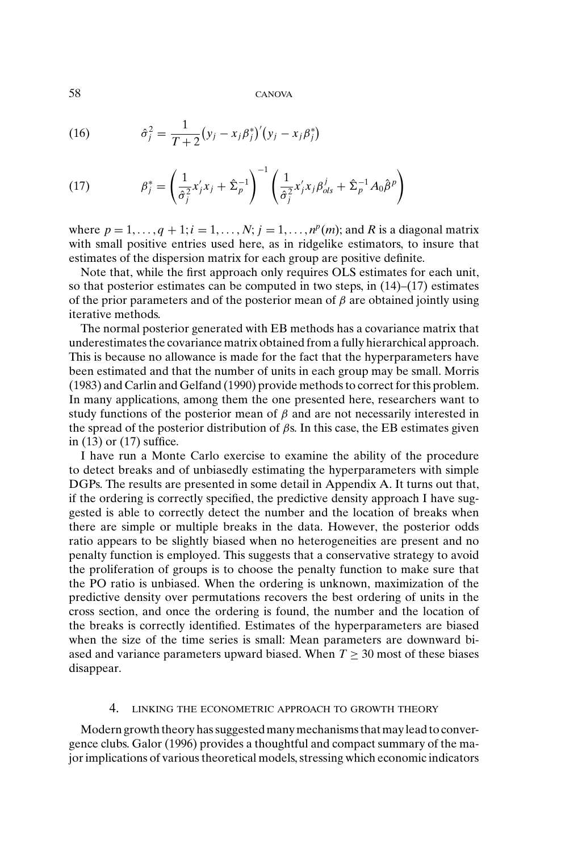(16) 
$$
\hat{\sigma}_j^2 = \frac{1}{T+2} (y_j - x_j \beta_j^*)' (y_j - x_j \beta_j^*)
$$

(17) 
$$
\beta_j^* = \left(\frac{1}{\hat{\sigma}_j^2} x_j' x_j + \hat{\Sigma}_p^{-1}\right)^{-1} \left(\frac{1}{\hat{\sigma}_j^2} x_j' x_j \beta_{ols}^j + \hat{\Sigma}_p^{-1} A_0 \hat{\beta}^p\right)
$$

where  $p = 1, \ldots, q + 1; i = 1, \ldots, N; j = 1, \ldots, n^p(m)$ ; and *R* is a diagonal matrix with small positive entries used here, as in ridgelike estimators, to insure that estimates of the dispersion matrix for each group are positive definite.

Note that, while the first approach only requires OLS estimates for each unit, so that posterior estimates can be computed in two steps, in (14)–(17) estimates of the prior parameters and of the posterior mean of  $\beta$  are obtained jointly using iterative methods.

The normal posterior generated with EB methods has a covariance matrix that underestimates the covariance matrix obtained from a fully hierarchical approach. This is because no allowance is made for the fact that the hyperparameters have been estimated and that the number of units in each group may be small. Morris (1983) and Carlin and Gelfand (1990) provide methods to correct for this problem. In many applications, among them the one presented here, researchers want to study functions of the posterior mean of  $\beta$  and are not necessarily interested in the spread of the posterior distribution of  $\beta$ s. In this case, the EB estimates given in (13) or (17) suffice.

I have run a Monte Carlo exercise to examine the ability of the procedure to detect breaks and of unbiasedly estimating the hyperparameters with simple DGPs. The results are presented in some detail in Appendix A. It turns out that, if the ordering is correctly specified, the predictive density approach I have suggested is able to correctly detect the number and the location of breaks when there are simple or multiple breaks in the data. However, the posterior odds ratio appears to be slightly biased when no heterogeneities are present and no penalty function is employed. This suggests that a conservative strategy to avoid the proliferation of groups is to choose the penalty function to make sure that the PO ratio is unbiased. When the ordering is unknown, maximization of the predictive density over permutations recovers the best ordering of units in the cross section, and once the ordering is found, the number and the location of the breaks is correctly identified. Estimates of the hyperparameters are biased when the size of the time series is small: Mean parameters are downward biased and variance parameters upward biased. When  $T \geq 30$  most of these biases disappear.

## 4. LINKING THE ECONOMETRIC APPROACH TO GROWTH THEORY

Modern growth theory has suggested many mechanisms that may lead to convergence clubs. Galor (1996) provides a thoughtful and compact summary of the major implications of various theoretical models, stressing which economic indicators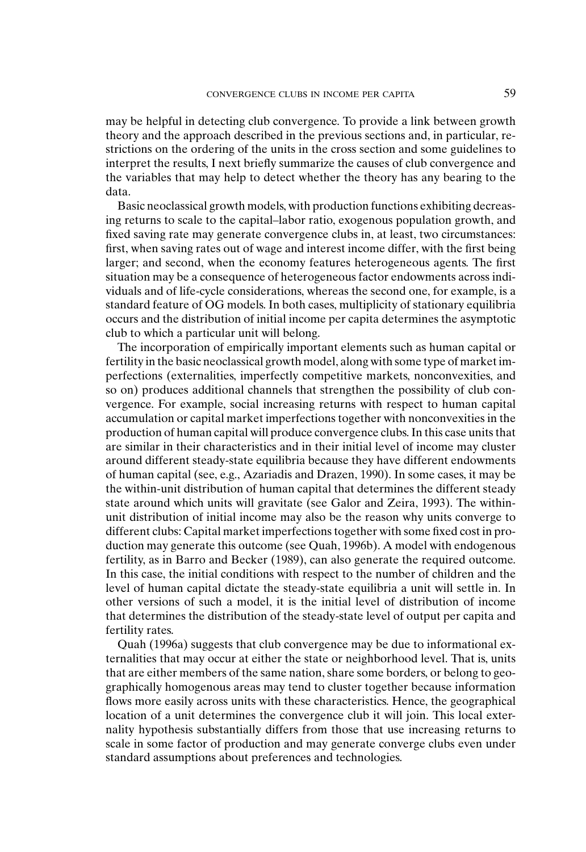may be helpful in detecting club convergence. To provide a link between growth theory and the approach described in the previous sections and, in particular, restrictions on the ordering of the units in the cross section and some guidelines to interpret the results, I next briefly summarize the causes of club convergence and the variables that may help to detect whether the theory has any bearing to the data.

Basic neoclassical growth models, with production functions exhibiting decreasing returns to scale to the capital–labor ratio, exogenous population growth, and fixed saving rate may generate convergence clubs in, at least, two circumstances: first, when saving rates out of wage and interest income differ, with the first being larger; and second, when the economy features heterogeneous agents. The first situation may be a consequence of heterogeneous factor endowments across individuals and of life-cycle considerations, whereas the second one, for example, is a standard feature of OG models. In both cases, multiplicity of stationary equilibria occurs and the distribution of initial income per capita determines the asymptotic club to which a particular unit will belong.

The incorporation of empirically important elements such as human capital or fertility in the basic neoclassical growth model, along with some type of market imperfections (externalities, imperfectly competitive markets, nonconvexities, and so on) produces additional channels that strengthen the possibility of club convergence. For example, social increasing returns with respect to human capital accumulation or capital market imperfections together with nonconvexities in the production of human capital will produce convergence clubs. In this case units that are similar in their characteristics and in their initial level of income may cluster around different steady-state equilibria because they have different endowments of human capital (see, e.g., Azariadis and Drazen, 1990). In some cases, it may be the within-unit distribution of human capital that determines the different steady state around which units will gravitate (see Galor and Zeira, 1993). The withinunit distribution of initial income may also be the reason why units converge to different clubs: Capital market imperfections together with some fixed cost in production may generate this outcome (see Quah, 1996b). A model with endogenous fertility, as in Barro and Becker (1989), can also generate the required outcome. In this case, the initial conditions with respect to the number of children and the level of human capital dictate the steady-state equilibria a unit will settle in. In other versions of such a model, it is the initial level of distribution of income that determines the distribution of the steady-state level of output per capita and fertility rates.

Quah (1996a) suggests that club convergence may be due to informational externalities that may occur at either the state or neighborhood level. That is, units that are either members of the same nation, share some borders, or belong to geographically homogenous areas may tend to cluster together because information flows more easily across units with these characteristics. Hence, the geographical location of a unit determines the convergence club it will join. This local externality hypothesis substantially differs from those that use increasing returns to scale in some factor of production and may generate converge clubs even under standard assumptions about preferences and technologies.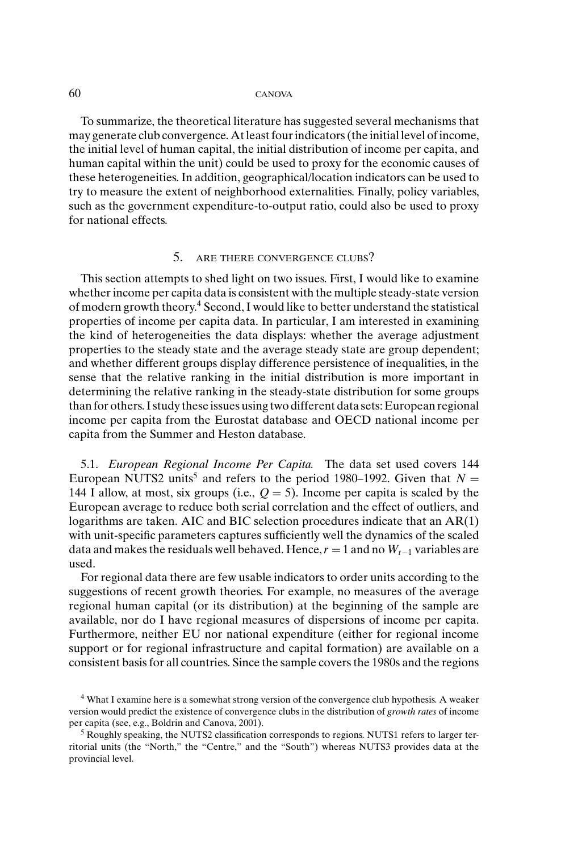To summarize, the theoretical literature has suggested several mechanisms that may generate club convergence. At least four indicators (the initial level of income, the initial level of human capital, the initial distribution of income per capita, and human capital within the unit) could be used to proxy for the economic causes of these heterogeneities. In addition, geographical/location indicators can be used to try to measure the extent of neighborhood externalities. Finally, policy variables, such as the government expenditure-to-output ratio, could also be used to proxy for national effects.

## 5. ARE THERE CONVERGENCE CLUBS?

This section attempts to shed light on two issues. First, I would like to examine whether income per capita data is consistent with the multiple steady-state version of modern growth theory.<sup>4</sup> Second, I would like to better understand the statistical properties of income per capita data. In particular, I am interested in examining the kind of heterogeneities the data displays: whether the average adjustment properties to the steady state and the average steady state are group dependent; and whether different groups display difference persistence of inequalities, in the sense that the relative ranking in the initial distribution is more important in determining the relative ranking in the steady-state distribution for some groups than for others. I study these issues using two different data sets: European regional income per capita from the Eurostat database and OECD national income per capita from the Summer and Heston database.

5.1. *European Regional Income Per Capita.* The data set used covers 144 European NUTS2 units<sup>5</sup> and refers to the period 1980–1992. Given that  $N =$ 144 I allow, at most, six groups (i.e.,  $Q = 5$ ). Income per capita is scaled by the European average to reduce both serial correlation and the effect of outliers, and logarithms are taken. AIC and BIC selection procedures indicate that an AR(1) with unit-specific parameters captures sufficiently well the dynamics of the scaled data and makes the residuals well behaved. Hence,  $r = 1$  and no  $W_{t-1}$  variables are used.

For regional data there are few usable indicators to order units according to the suggestions of recent growth theories. For example, no measures of the average regional human capital (or its distribution) at the beginning of the sample are available, nor do I have regional measures of dispersions of income per capita. Furthermore, neither EU nor national expenditure (either for regional income support or for regional infrastructure and capital formation) are available on a consistent basis for all countries. Since the sample covers the 1980s and the regions

<sup>4</sup> What I examine here is a somewhat strong version of the convergence club hypothesis. A weaker version would predict the existence of convergence clubs in the distribution of *growth rates* of income per capita (see, e.g., Boldrin and Canova, 2001).

 $<sup>5</sup>$  Roughly speaking, the NUTS2 classification corresponds to regions. NUTS1 refers to larger ter-</sup> ritorial units (the "North," the "Centre," and the "South") whereas NUTS3 provides data at the provincial level.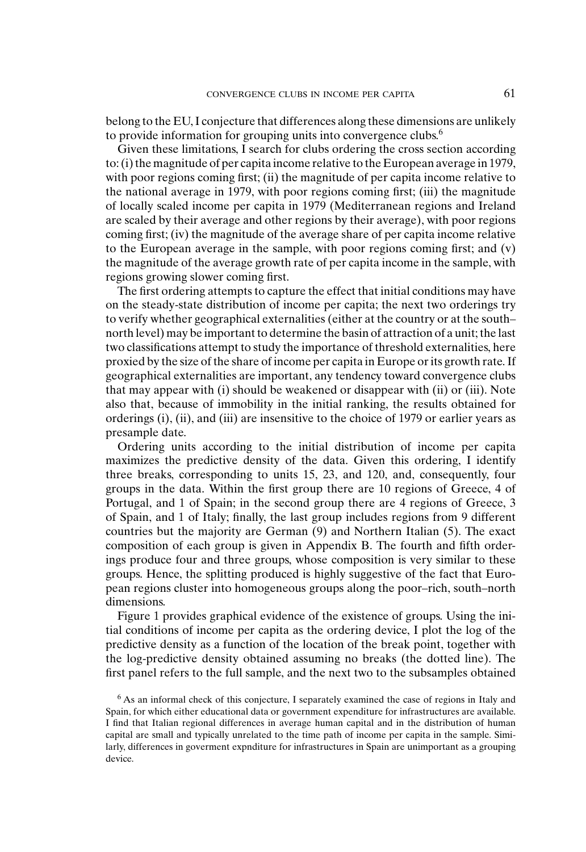belong to the EU, I conjecture that differences along these dimensions are unlikely to provide information for grouping units into convergence clubs.<sup>6</sup>

Given these limitations, I search for clubs ordering the cross section according to: (i) the magnitude of per capita income relative to the European average in 1979, with poor regions coming first; (ii) the magnitude of per capita income relative to the national average in 1979, with poor regions coming first; (iii) the magnitude of locally scaled income per capita in 1979 (Mediterranean regions and Ireland are scaled by their average and other regions by their average), with poor regions coming first; (iv) the magnitude of the average share of per capita income relative to the European average in the sample, with poor regions coming first; and (v) the magnitude of the average growth rate of per capita income in the sample, with regions growing slower coming first.

The first ordering attempts to capture the effect that initial conditions may have on the steady-state distribution of income per capita; the next two orderings try to verify whether geographical externalities (either at the country or at the south– north level) may be important to determine the basin of attraction of a unit; the last two classifications attempt to study the importance of threshold externalities, here proxied by the size of the share of income per capita in Europe or its growth rate. If geographical externalities are important, any tendency toward convergence clubs that may appear with (i) should be weakened or disappear with (ii) or (iii). Note also that, because of immobility in the initial ranking, the results obtained for orderings (i), (ii), and (iii) are insensitive to the choice of 1979 or earlier years as presample date.

Ordering units according to the initial distribution of income per capita maximizes the predictive density of the data. Given this ordering, I identify three breaks, corresponding to units 15, 23, and 120, and, consequently, four groups in the data. Within the first group there are 10 regions of Greece, 4 of Portugal, and 1 of Spain; in the second group there are 4 regions of Greece, 3 of Spain, and 1 of Italy; finally, the last group includes regions from 9 different countries but the majority are German (9) and Northern Italian (5). The exact composition of each group is given in Appendix B. The fourth and fifth orderings produce four and three groups, whose composition is very similar to these groups. Hence, the splitting produced is highly suggestive of the fact that European regions cluster into homogeneous groups along the poor–rich, south–north dimensions.

Figure 1 provides graphical evidence of the existence of groups. Using the initial conditions of income per capita as the ordering device, I plot the log of the predictive density as a function of the location of the break point, together with the log-predictive density obtained assuming no breaks (the dotted line). The first panel refers to the full sample, and the next two to the subsamples obtained

<sup>6</sup> As an informal check of this conjecture, I separately examined the case of regions in Italy and Spain, for which either educational data or government expenditure for infrastructures are available. I find that Italian regional differences in average human capital and in the distribution of human capital are small and typically unrelated to the time path of income per capita in the sample. Similarly, differences in goverment expnditure for infrastructures in Spain are unimportant as a grouping device.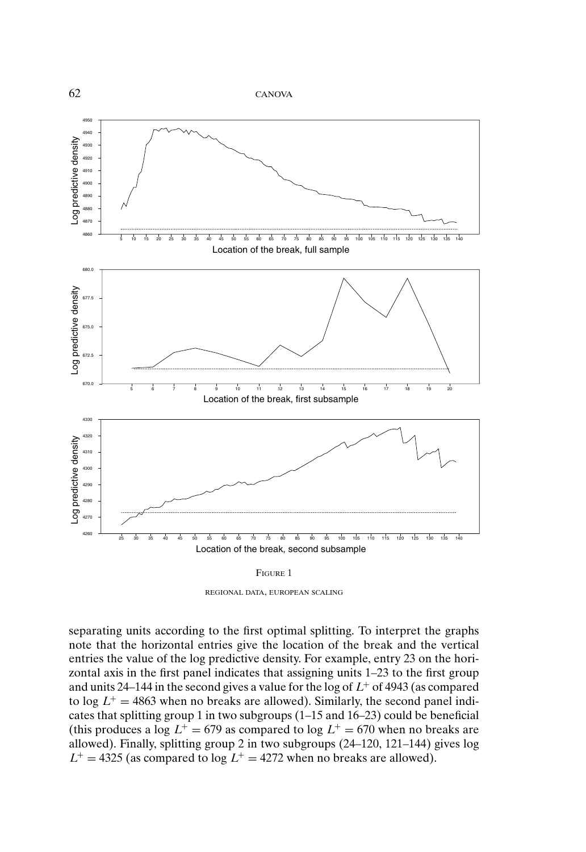

REGIONAL DATA, EUROPEAN SCALING

separating units according to the first optimal splitting. To interpret the graphs note that the horizontal entries give the location of the break and the vertical entries the value of the log predictive density. For example, entry 23 on the horizontal axis in the first panel indicates that assigning units 1–23 to the first group and units 24–144 in the second gives a value for the log of  $L^+$  of 4943 (as compared to  $\log L^+ = 4863$  when no breaks are allowed). Similarly, the second panel indicates that splitting group 1 in two subgroups (1–15 and 16–23) could be beneficial (this produces a log  $L^+ = 679$  as compared to log  $L^+ = 670$  when no breaks are allowed). Finally, splitting group 2 in two subgroups (24–120, 121–144) gives log  $L^+$  = 4325 (as compared to log  $L^+$  = 4272 when no breaks are allowed).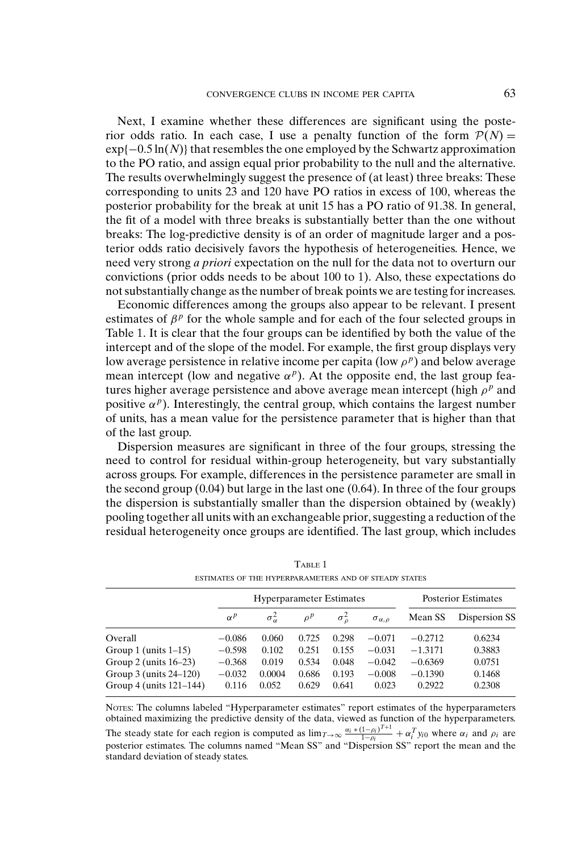Next, I examine whether these differences are significant using the posterior odds ratio. In each case, I use a penalty function of the form  $P(N) =$ exp{−0.5 ln(*N*)} that resembles the one employed by the Schwartz approximation to the PO ratio, and assign equal prior probability to the null and the alternative. The results overwhelmingly suggest the presence of (at least) three breaks: These corresponding to units 23 and 120 have PO ratios in excess of 100, whereas the posterior probability for the break at unit 15 has a PO ratio of 91.38. In general, the fit of a model with three breaks is substantially better than the one without breaks: The log-predictive density is of an order of magnitude larger and a posterior odds ratio decisively favors the hypothesis of heterogeneities. Hence, we need very strong *a priori* expectation on the null for the data not to overturn our convictions (prior odds needs to be about 100 to 1). Also, these expectations do not substantially change as the number of break points we are testing for increases.

Economic differences among the groups also appear to be relevant. I present estimates of  $\beta^p$  for the whole sample and for each of the four selected groups in Table 1. It is clear that the four groups can be identified by both the value of the intercept and of the slope of the model. For example, the first group displays very low average persistence in relative income per capita (low  $\rho^p$ ) and below average mean intercept (low and negative  $\alpha^p$ ). At the opposite end, the last group features higher average persistence and above average mean intercept (high  $\rho^p$  and positive  $\alpha^p$ ). Interestingly, the central group, which contains the largest number of units, has a mean value for the persistence parameter that is higher than that of the last group.

Dispersion measures are significant in three of the four groups, stressing the need to control for residual within-group heterogeneity, but vary substantially across groups. For example, differences in the persistence parameter are small in the second group  $(0.04)$  but large in the last one  $(0.64)$ . In three of the four groups the dispersion is substantially smaller than the dispersion obtained by (weakly) pooling together all units with an exchangeable prior, suggesting a reduction of the residual heterogeneity once groups are identified. The last group, which includes

| ESTIMATES OF THE HYPERPARAMETERS AND OF STEADY STATES |            |                                 |          |                    |                        |           |                            |  |  |  |
|-------------------------------------------------------|------------|---------------------------------|----------|--------------------|------------------------|-----------|----------------------------|--|--|--|
|                                                       |            | <b>Hyperparameter Estimates</b> |          |                    |                        |           | <b>Posterior Estimates</b> |  |  |  |
|                                                       | $\alpha^p$ | $\sigma_{\alpha}^2$             | $\rho^p$ | $\sigma_{\rm g}^2$ | $\sigma_{\alpha,\rho}$ | Mean SS   | Dispersion SS              |  |  |  |
| Overall                                               | $-0.086$   | 0.060                           | 0.725    | 0.298              | $-0.071$               | $-0.2712$ | 0.6234                     |  |  |  |
| Group 1 (units $1-15$ )                               | $-0.598$   | 0.102                           | 0.251    | 0.155              | $-0.031$               | $-1.3171$ | 0.3883                     |  |  |  |
| Group 2 (units $16-23$ )                              | $-0.368$   | 0.019                           | 0.534    | 0.048              | $-0.042$               | $-0.6369$ | 0.0751                     |  |  |  |
| Group 3 (units 24–120)                                | $-0.032$   | 0.0004                          | 0.686    | 0.193              | $-0.008$               | $-0.1390$ | 0.1468                     |  |  |  |
| Group 4 (units $121-144$ )                            | 0.116      | 0.052                           | 0.629    | 0.641              | 0.023                  | 0.2922    | 0.2308                     |  |  |  |

| <b>TABLE</b>                                         |  |  |
|------------------------------------------------------|--|--|
| ESTIMATES OF THE HYPERPARAMETERS AND OF STEADY STATE |  |  |

NOTES: The columns labeled "Hyperparameter estimates" report estimates of the hyperparameters obtained maximizing the predictive density of the data, viewed as function of the hyperparameters.

The steady state for each region is computed as  $\lim_{T\to\infty} \frac{\alpha_i * (1-\rho_i)^{T+1}}{1-\rho_i} + \alpha_i^T y_i$  where  $\alpha_i$  and  $\rho_i$  are posterior estimates. The columns named "Mean SS" and "Dispersion SS" report the mean and the standard deviation of steady states.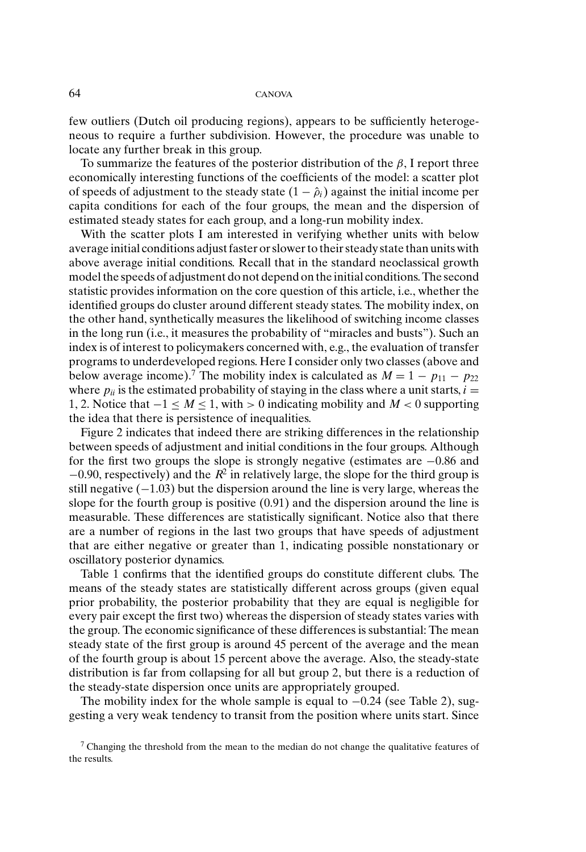few outliers (Dutch oil producing regions), appears to be sufficiently heterogeneous to require a further subdivision. However, the procedure was unable to locate any further break in this group.

To summarize the features of the posterior distribution of the  $\beta$ , I report three economically interesting functions of the coefficients of the model: a scatter plot of speeds of adjustment to the steady state  $(1 - \hat{\rho}_i)$  against the initial income per capita conditions for each of the four groups, the mean and the dispersion of estimated steady states for each group, and a long-run mobility index.

With the scatter plots I am interested in verifying whether units with below average initial conditions adjust faster or slower to their steady state than units with above average initial conditions. Recall that in the standard neoclassical growth model the speeds of adjustment do not depend on the initial conditions. The second statistic provides information on the core question of this article, i.e., whether the identified groups do cluster around different steady states. The mobility index, on the other hand, synthetically measures the likelihood of switching income classes in the long run (i.e., it measures the probability of "miracles and busts"). Such an index is of interest to policymakers concerned with, e.g., the evaluation of transfer programs to underdeveloped regions. Here I consider only two classes (above and below average income).<sup>7</sup> The mobility index is calculated as  $M = 1 - p_{11} - p_{22}$ where  $p_{ii}$  is the estimated probability of staying in the class where a unit starts,  $i =$ 1, 2. Notice that −1 ≤ *M* ≤ 1, with > 0 indicating mobility and *M* < 0 supporting the idea that there is persistence of inequalities.

Figure 2 indicates that indeed there are striking differences in the relationship between speeds of adjustment and initial conditions in the four groups. Although for the first two groups the slope is strongly negative (estimates are −0.86 and  $-0.90$ , respectively) and the  $R^2$  in relatively large, the slope for the third group is still negative  $(-1.03)$  but the dispersion around the line is very large, whereas the slope for the fourth group is positive (0.91) and the dispersion around the line is measurable. These differences are statistically significant. Notice also that there are a number of regions in the last two groups that have speeds of adjustment that are either negative or greater than 1, indicating possible nonstationary or oscillatory posterior dynamics.

Table 1 confirms that the identified groups do constitute different clubs. The means of the steady states are statistically different across groups (given equal prior probability, the posterior probability that they are equal is negligible for every pair except the first two) whereas the dispersion of steady states varies with the group. The economic significance of these differences is substantial: The mean steady state of the first group is around 45 percent of the average and the mean of the fourth group is about 15 percent above the average. Also, the steady-state distribution is far from collapsing for all but group 2, but there is a reduction of the steady-state dispersion once units are appropriately grouped.

The mobility index for the whole sample is equal to −0.24 (see Table 2), suggesting a very weak tendency to transit from the position where units start. Since

<sup>&</sup>lt;sup>7</sup> Changing the threshold from the mean to the median do not change the qualitative features of the results.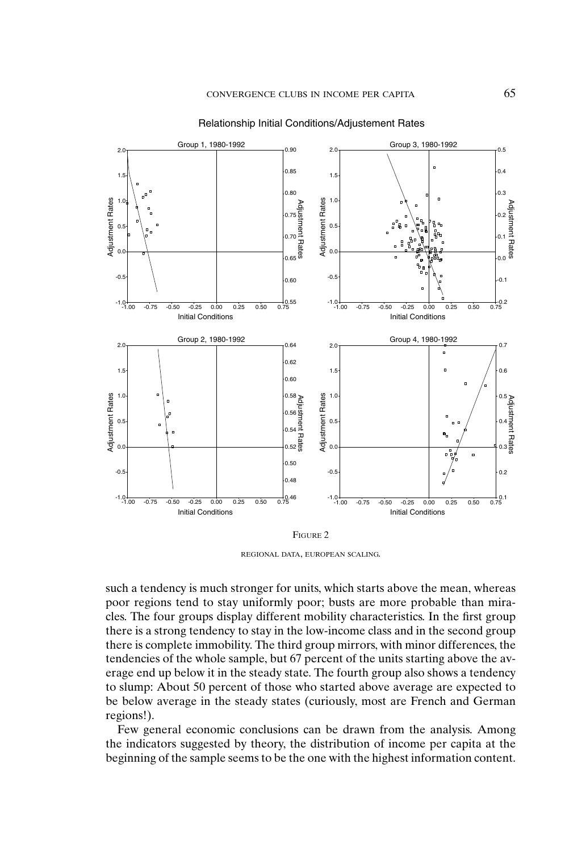

Relationship Initial Conditions/Adjustement Rates

REGIONAL DATA, EUROPEAN SCALING.

such a tendency is much stronger for units, which starts above the mean, whereas poor regions tend to stay uniformly poor; busts are more probable than miracles. The four groups display different mobility characteristics. In the first group there is a strong tendency to stay in the low-income class and in the second group there is complete immobility. The third group mirrors, with minor differences, the tendencies of the whole sample, but 67 percent of the units starting above the average end up below it in the steady state. The fourth group also shows a tendency to slump: About 50 percent of those who started above average are expected to be below average in the steady states (curiously, most are French and German regions!).

Few general economic conclusions can be drawn from the analysis. Among the indicators suggested by theory, the distribution of income per capita at the beginning of the sample seems to be the one with the highest information content.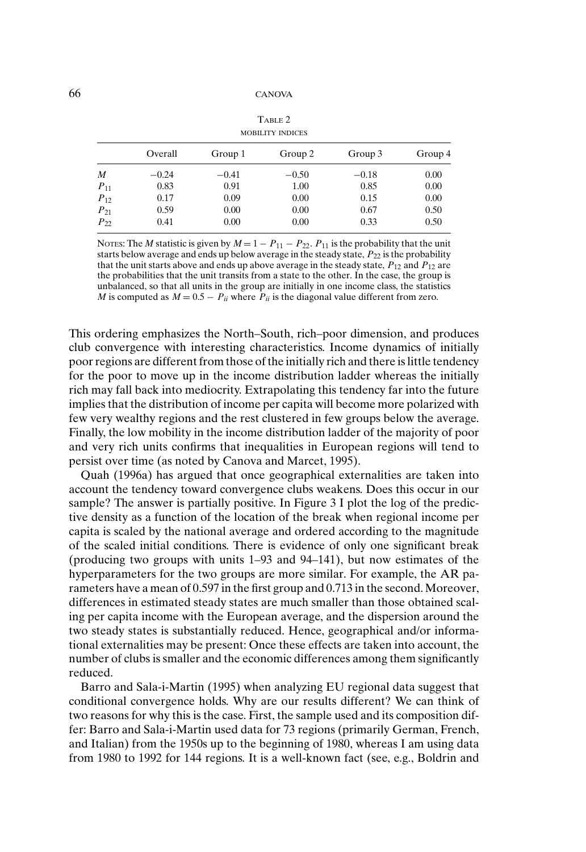| <b>MOBILITY INDICES</b> |         |         |         |         |         |  |  |  |  |  |
|-------------------------|---------|---------|---------|---------|---------|--|--|--|--|--|
|                         | Overall | Group 1 | Group 2 | Group 3 | Group 4 |  |  |  |  |  |
| M                       | $-0.24$ | $-0.41$ | $-0.50$ | $-0.18$ | 0.00    |  |  |  |  |  |
| $P_{11}$                | 0.83    | 0.91    | 1.00    | 0.85    | 0.00    |  |  |  |  |  |
| $P_{12}$                | 0.17    | 0.09    | 0.00    | 0.15    | 0.00    |  |  |  |  |  |
| $P_{21}$                | 0.59    | 0.00    | 0.00    | 0.67    | 0.50    |  |  |  |  |  |
| $P_{22}$                | 0.41    | 0.00    | 0.00    | 0.33    | 0.50    |  |  |  |  |  |

TABLE 2

NOTES: The *M* statistic is given by  $M = 1 - P_{11} - P_{22}$ .  $P_{11}$  is the probability that the unit starts below average and ends up below average in the steady state,  $P_{22}$  is the probability that the unit starts above and ends up above average in the steady state,  $P_{12}$  and  $P_{12}$  are the probabilities that the unit transits from a state to the other. In the case, the group is unbalanced, so that all units in the group are initially in one income class, the statistics *M* is computed as  $M = 0.5 - P_{ii}$  where  $P_{ii}$  is the diagonal value different from zero.

This ordering emphasizes the North–South, rich–poor dimension, and produces club convergence with interesting characteristics. Income dynamics of initially poor regions are different from those of the initially rich and there is little tendency for the poor to move up in the income distribution ladder whereas the initially rich may fall back into mediocrity. Extrapolating this tendency far into the future implies that the distribution of income per capita will become more polarized with few very wealthy regions and the rest clustered in few groups below the average. Finally, the low mobility in the income distribution ladder of the majority of poor and very rich units confirms that inequalities in European regions will tend to persist over time (as noted by Canova and Marcet, 1995).

Quah (1996a) has argued that once geographical externalities are taken into account the tendency toward convergence clubs weakens. Does this occur in our sample? The answer is partially positive. In Figure 3 I plot the log of the predictive density as a function of the location of the break when regional income per capita is scaled by the national average and ordered according to the magnitude of the scaled initial conditions. There is evidence of only one significant break (producing two groups with units 1–93 and 94–141), but now estimates of the hyperparameters for the two groups are more similar. For example, the AR parameters have a mean of 0.597 in the first group and 0.713 in the second. Moreover, differences in estimated steady states are much smaller than those obtained scaling per capita income with the European average, and the dispersion around the two steady states is substantially reduced. Hence, geographical and/or informational externalities may be present: Once these effects are taken into account, the number of clubs is smaller and the economic differences among them significantly reduced.

Barro and Sala-i-Martin (1995) when analyzing EU regional data suggest that conditional convergence holds. Why are our results different? We can think of two reasons for why this is the case. First, the sample used and its composition differ: Barro and Sala-i-Martin used data for 73 regions (primarily German, French, and Italian) from the 1950s up to the beginning of 1980, whereas I am using data from 1980 to 1992 for 144 regions. It is a well-known fact (see, e.g., Boldrin and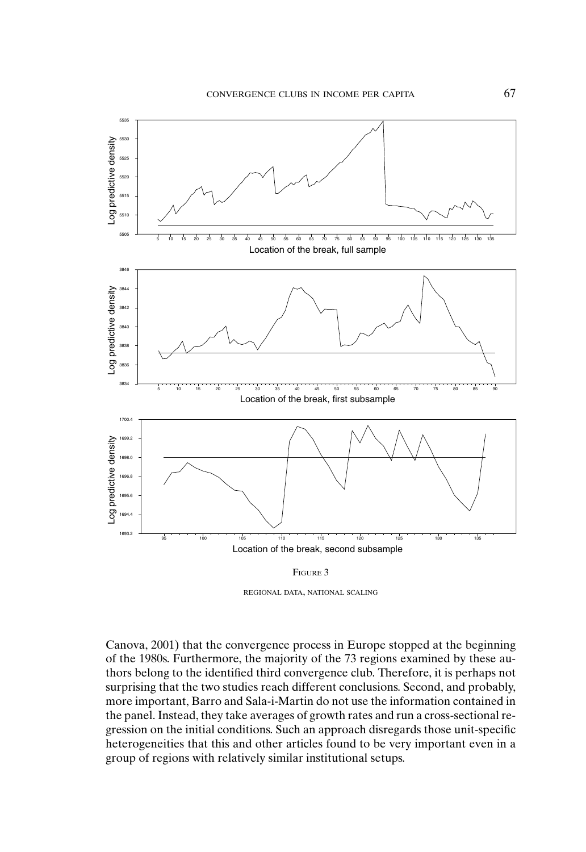

REGIONAL DATA, NATIONAL SCALING

Canova, 2001) that the convergence process in Europe stopped at the beginning of the 1980s. Furthermore, the majority of the 73 regions examined by these authors belong to the identified third convergence club. Therefore, it is perhaps not surprising that the two studies reach different conclusions. Second, and probably, more important, Barro and Sala-i-Martin do not use the information contained in the panel. Instead, they take averages of growth rates and run a cross-sectional regression on the initial conditions. Such an approach disregards those unit-specific heterogeneities that this and other articles found to be very important even in a group of regions with relatively similar institutional setups.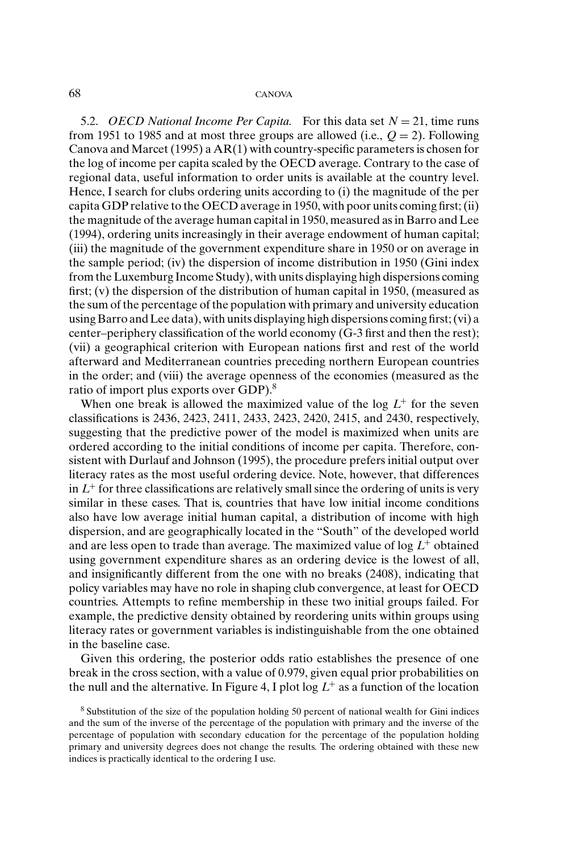5.2. *OECD National Income Per Capita.* For this data set  $N = 21$ , time runs from 1951 to 1985 and at most three groups are allowed (i.e.,  $Q = 2$ ). Following Canova and Marcet (1995) a AR(1) with country-specific parameters is chosen for the log of income per capita scaled by the OECD average. Contrary to the case of regional data, useful information to order units is available at the country level. Hence, I search for clubs ordering units according to (i) the magnitude of the per capita GDP relative to the OECD average in 1950, with poor units coming first; (ii) the magnitude of the average human capital in 1950, measured as in Barro and Lee (1994), ordering units increasingly in their average endowment of human capital; (iii) the magnitude of the government expenditure share in 1950 or on average in the sample period; (iv) the dispersion of income distribution in 1950 (Gini index from the Luxemburg Income Study), with units displaying high dispersions coming first; (v) the dispersion of the distribution of human capital in 1950, (measured as the sum of the percentage of the population with primary and university education using Barro and Lee data), with units displaying high dispersions coming first; (vi) a center–periphery classification of the world economy (G-3 first and then the rest); (vii) a geographical criterion with European nations first and rest of the world afterward and Mediterranean countries preceding northern European countries in the order; and (viii) the average openness of the economies (measured as the ratio of import plus exports over GDP).<sup>8</sup>

When one break is allowed the maximized value of the log  $L^+$  for the seven classifications is 2436, 2423, 2411, 2433, 2423, 2420, 2415, and 2430, respectively, suggesting that the predictive power of the model is maximized when units are ordered according to the initial conditions of income per capita. Therefore, consistent with Durlauf and Johnson (1995), the procedure prefers initial output over literacy rates as the most useful ordering device. Note, however, that differences in  $L^+$  for three classifications are relatively small since the ordering of units is very similar in these cases. That is, countries that have low initial income conditions also have low average initial human capital, a distribution of income with high dispersion, and are geographically located in the "South" of the developed world and are less open to trade than average. The maximized value of log *L*<sup>+</sup> obtained using government expenditure shares as an ordering device is the lowest of all, and insignificantly different from the one with no breaks (2408), indicating that policy variables may have no role in shaping club convergence, at least for OECD countries. Attempts to refine membership in these two initial groups failed. For example, the predictive density obtained by reordering units within groups using literacy rates or government variables is indistinguishable from the one obtained in the baseline case.

Given this ordering, the posterior odds ratio establishes the presence of one break in the cross section, with a value of 0.979, given equal prior probabilities on the null and the alternative. In Figure 4, I plot  $\log L^+$  as a function of the location

<sup>8</sup> Substitution of the size of the population holding 50 percent of national wealth for Gini indices and the sum of the inverse of the percentage of the population with primary and the inverse of the percentage of population with secondary education for the percentage of the population holding primary and university degrees does not change the results. The ordering obtained with these new indices is practically identical to the ordering I use.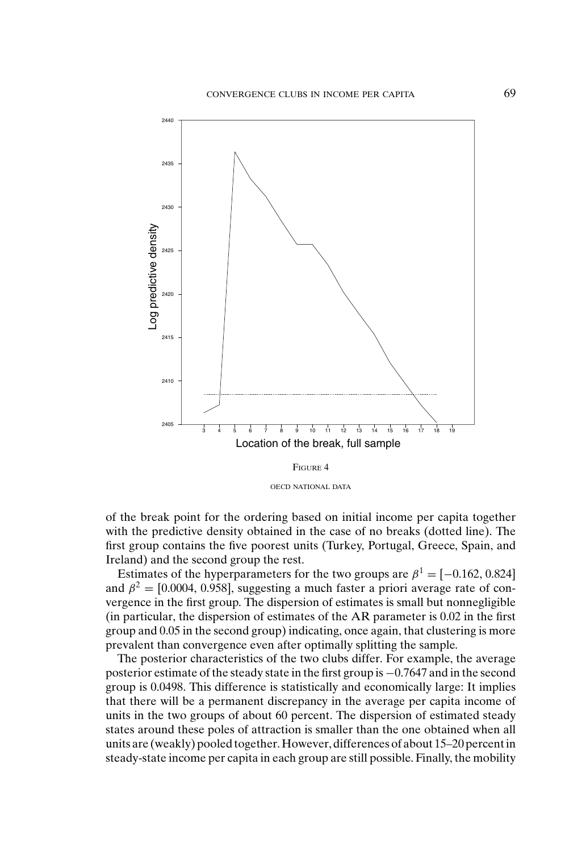

of the break point for the ordering based on initial income per capita together with the predictive density obtained in the case of no breaks (dotted line). The first group contains the five poorest units (Turkey, Portugal, Greece, Spain, and Ireland) and the second group the rest.

Estimates of the hyperparameters for the two groups are  $\beta^1 = [-0.162, 0.824]$ and  $\beta^2 = [0.0004, 0.958]$ , suggesting a much faster a priori average rate of convergence in the first group. The dispersion of estimates is small but nonnegligible (in particular, the dispersion of estimates of the AR parameter is 0.02 in the first group and 0.05 in the second group) indicating, once again, that clustering is more prevalent than convergence even after optimally splitting the sample.

The posterior characteristics of the two clubs differ. For example, the average posterior estimate of the steady state in the first group is −0.7647 and in the second group is 0.0498. This difference is statistically and economically large: It implies that there will be a permanent discrepancy in the average per capita income of units in the two groups of about 60 percent. The dispersion of estimated steady states around these poles of attraction is smaller than the one obtained when all units are (weakly) pooled together. However, differences of about 15–20 percent in steady-state income per capita in each group are still possible. Finally, the mobility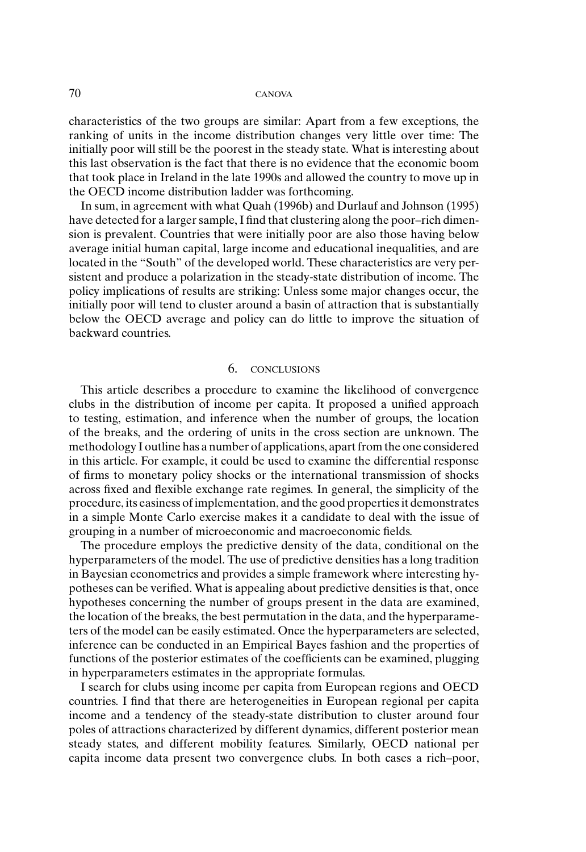characteristics of the two groups are similar: Apart from a few exceptions, the ranking of units in the income distribution changes very little over time: The initially poor will still be the poorest in the steady state. What is interesting about this last observation is the fact that there is no evidence that the economic boom that took place in Ireland in the late 1990s and allowed the country to move up in the OECD income distribution ladder was forthcoming.

In sum, in agreement with what Quah (1996b) and Durlauf and Johnson (1995) have detected for a larger sample, I find that clustering along the poor–rich dimension is prevalent. Countries that were initially poor are also those having below average initial human capital, large income and educational inequalities, and are located in the "South" of the developed world. These characteristics are very persistent and produce a polarization in the steady-state distribution of income. The policy implications of results are striking: Unless some major changes occur, the initially poor will tend to cluster around a basin of attraction that is substantially below the OECD average and policy can do little to improve the situation of backward countries.

## 6. CONCLUSIONS

This article describes a procedure to examine the likelihood of convergence clubs in the distribution of income per capita. It proposed a unified approach to testing, estimation, and inference when the number of groups, the location of the breaks, and the ordering of units in the cross section are unknown. The methodology I outline has a number of applications, apart from the one considered in this article. For example, it could be used to examine the differential response of firms to monetary policy shocks or the international transmission of shocks across fixed and flexible exchange rate regimes. In general, the simplicity of the procedure, its easiness of implementation, and the good properties it demonstrates in a simple Monte Carlo exercise makes it a candidate to deal with the issue of grouping in a number of microeconomic and macroeconomic fields.

The procedure employs the predictive density of the data, conditional on the hyperparameters of the model. The use of predictive densities has a long tradition in Bayesian econometrics and provides a simple framework where interesting hypotheses can be verified. What is appealing about predictive densities is that, once hypotheses concerning the number of groups present in the data are examined, the location of the breaks, the best permutation in the data, and the hyperparameters of the model can be easily estimated. Once the hyperparameters are selected, inference can be conducted in an Empirical Bayes fashion and the properties of functions of the posterior estimates of the coefficients can be examined, plugging in hyperparameters estimates in the appropriate formulas.

I search for clubs using income per capita from European regions and OECD countries. I find that there are heterogeneities in European regional per capita income and a tendency of the steady-state distribution to cluster around four poles of attractions characterized by different dynamics, different posterior mean steady states, and different mobility features. Similarly, OECD national per capita income data present two convergence clubs. In both cases a rich–poor,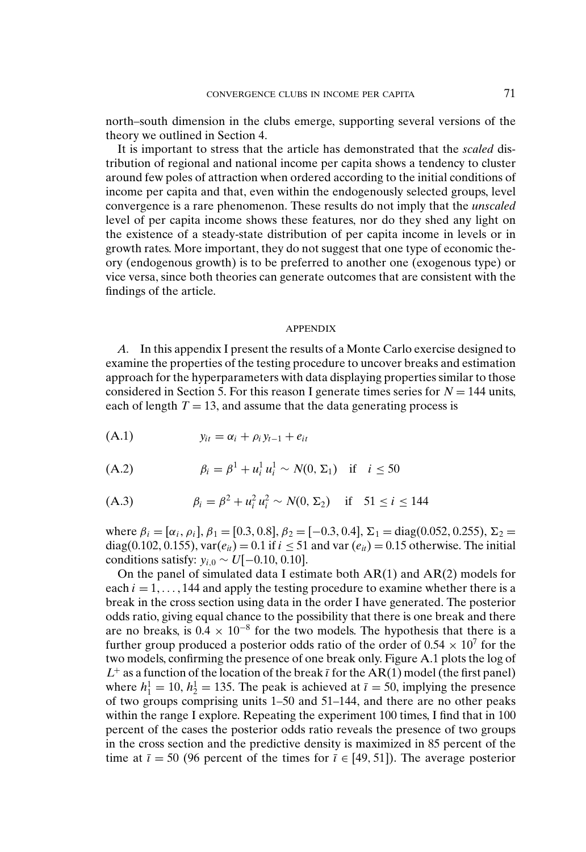north–south dimension in the clubs emerge, supporting several versions of the theory we outlined in Section 4.

It is important to stress that the article has demonstrated that the *scaled* distribution of regional and national income per capita shows a tendency to cluster around few poles of attraction when ordered according to the initial conditions of income per capita and that, even within the endogenously selected groups, level convergence is a rare phenomenon. These results do not imply that the *unscaled* level of per capita income shows these features, nor do they shed any light on the existence of a steady-state distribution of per capita income in levels or in growth rates. More important, they do not suggest that one type of economic theory (endogenous growth) is to be preferred to another one (exogenous type) or vice versa, since both theories can generate outcomes that are consistent with the findings of the article.

#### APPENDIX

*A.* In this appendix I present the results of a Monte Carlo exercise designed to examine the properties of the testing procedure to uncover breaks and estimation approach for the hyperparameters with data displaying properties similar to those considered in Section 5. For this reason I generate times series for  $N = 144$  units, each of length  $T = 13$ , and assume that the data generating process is

$$
(A.1) \t y_{it} = \alpha_i + \rho_i y_{t-1} + e_{it}
$$

(A.2) 
$$
\beta_i = \beta^1 + u_i^1 u_i^1 \sim N(0, \Sigma_1) \text{ if } i \leq 50
$$

(A.3) 
$$
\beta_i = \beta^2 + u_i^2 u_i^2 \sim N(0, \Sigma_2) \quad \text{if} \quad 51 \le i \le 144
$$

where  $\beta_i = [\alpha_i, \rho_i], \beta_1 = [0.3, 0.8], \beta_2 = [-0.3, 0.4], \Sigma_1 = \text{diag}(0.052, 0.255), \Sigma_2 =$ diag(0.102, 0.155),  $var(e_{it}) = 0.1$  if  $i \le 51$  and var  $(e_{it}) = 0.15$  otherwise. The initial conditions satisfy:  $y_{i,0}$  ∼ *U*[−0.10, 0.10].

On the panel of simulated data I estimate both  $AR(1)$  and  $AR(2)$  models for each  $i = 1, \ldots, 144$  and apply the testing procedure to examine whether there is a break in the cross section using data in the order I have generated. The posterior odds ratio, giving equal chance to the possibility that there is one break and there are no breaks, is  $0.4 \times 10^{-8}$  for the two models. The hypothesis that there is a further group produced a posterior odds ratio of the order of  $0.54 \times 10^7$  for the two models, confirming the presence of one break only. Figure A.1 plots the log of  $L^+$  as a function of the location of the break  $\bar{i}$  for the AR(1) model (the first panel) where  $h_1^1 = 10$ ,  $h_2^1 = 135$ . The peak is achieved at  $\bar{\iota} = 50$ , implying the presence of two groups comprising units 1–50 and 51–144, and there are no other peaks within the range I explore. Repeating the experiment 100 times, I find that in 100 percent of the cases the posterior odds ratio reveals the presence of two groups in the cross section and the predictive density is maximized in 85 percent of the time at  $\bar{i}$  = 50 (96 percent of the times for  $\bar{i}$   $\in$  [49, 51]). The average posterior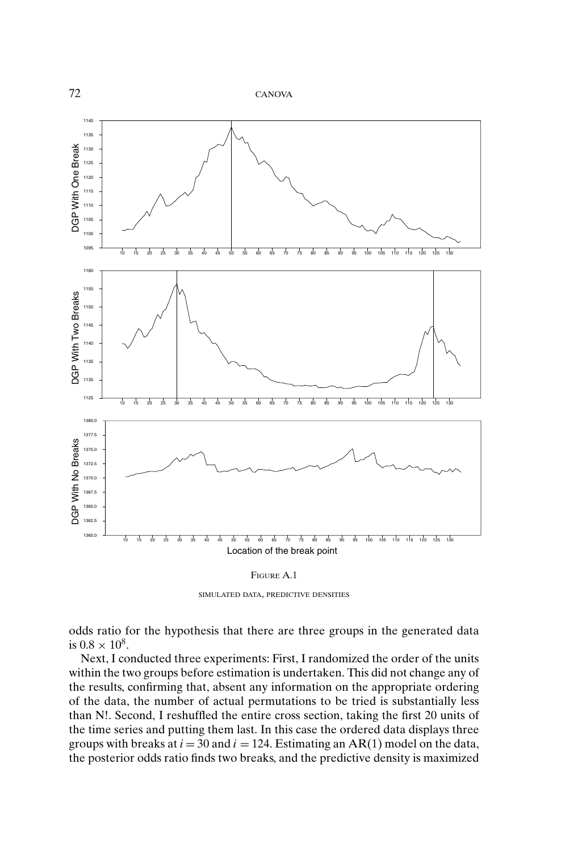

SIMULATED DATA, PREDICTIVE DENSITIES

odds ratio for the hypothesis that there are three groups in the generated data is  $0.8 \times 10^8$ .

Next, I conducted three experiments: First, I randomized the order of the units within the two groups before estimation is undertaken. This did not change any of the results, confirming that, absent any information on the appropriate ordering of the data, the number of actual permutations to be tried is substantially less than N!. Second, I reshuffled the entire cross section, taking the first 20 units of the time series and putting them last. In this case the ordered data displays three groups with breaks at  $i = 30$  and  $i = 124$ . Estimating an AR(1) model on the data, the posterior odds ratio finds two breaks, and the predictive density is maximized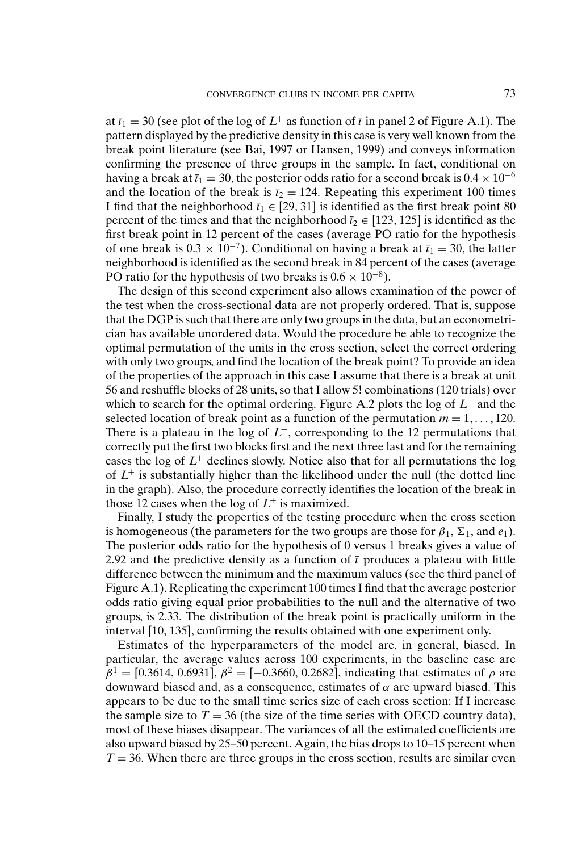at  $\bar{i}_1 = 30$  (see plot of the log of  $L^+$  as function of  $\bar{i}$  in panel 2 of Figure A.1). The pattern displayed by the predictive density in this case is very well known from the break point literature (see Bai, 1997 or Hansen, 1999) and conveys information confirming the presence of three groups in the sample. In fact, conditional on having a break at  $\bar{i}_1 = 30$ , the posterior odds ratio for a second break is  $0.4 \times 10^{-6}$ and the location of the break is  $\bar{i}_2 = 124$ . Repeating this experiment 100 times I find that the neighborhood  $\bar{i}_1 \in [29, 31]$  is identified as the first break point 80 percent of the times and that the neighborhood  $\bar{i}_2 \in [123, 125]$  is identified as the first break point in 12 percent of the cases (average PO ratio for the hypothesis of one break is  $0.3 \times 10^{-7}$ ). Conditional on having a break at  $\bar{i}_1 = 30$ , the latter neighborhood is identified as the second break in 84 percent of the cases (average PO ratio for the hypothesis of two breaks is  $0.6 \times 10^{-8}$ ).

The design of this second experiment also allows examination of the power of the test when the cross-sectional data are not properly ordered. That is, suppose that the DGP is such that there are only two groups in the data, but an econometrician has available unordered data. Would the procedure be able to recognize the optimal permutation of the units in the cross section, select the correct ordering with only two groups, and find the location of the break point? To provide an idea of the properties of the approach in this case I assume that there is a break at unit 56 and reshuffle blocks of 28 units, so that I allow 5! combinations (120 trials) over which to search for the optimal ordering. Figure A.2 plots the log of  $L^+$  and the selected location of break point as a function of the permutation  $m = 1, \ldots, 120$ . There is a plateau in the log of  $L^+$ , corresponding to the 12 permutations that correctly put the first two blocks first and the next three last and for the remaining cases the log of  $L^+$  declines slowly. Notice also that for all permutations the log of  $L^+$  is substantially higher than the likelihood under the null (the dotted line in the graph). Also, the procedure correctly identifies the location of the break in those 12 cases when the log of  $L^+$  is maximized.

Finally, I study the properties of the testing procedure when the cross section is homogeneous (the parameters for the two groups are those for  $\beta_1$ ,  $\Sigma_1$ , and  $e_1$ ). The posterior odds ratio for the hypothesis of 0 versus 1 breaks gives a value of 2.92 and the predictive density as a function of  $\bar{\iota}$  produces a plateau with little difference between the minimum and the maximum values (see the third panel of Figure A.1). Replicating the experiment 100 times I find that the average posterior odds ratio giving equal prior probabilities to the null and the alternative of two groups, is 2.33. The distribution of the break point is practically uniform in the interval [10, 135], confirming the results obtained with one experiment only.

Estimates of the hyperparameters of the model are, in general, biased. In particular, the average values across 100 experiments, in the baseline case are  $β<sup>1</sup> = [0.3614, 0.6931], β<sup>2</sup> = [-0.3660, 0.2682],$  indicating that estimates of ρ are downward biased and, as a consequence, estimates of  $\alpha$  are upward biased. This appears to be due to the small time series size of each cross section: If I increase the sample size to  $T = 36$  (the size of the time series with OECD country data), most of these biases disappear. The variances of all the estimated coefficients are also upward biased by 25–50 percent. Again, the bias drops to 10–15 percent when  $T = 36$ . When there are three groups in the cross section, results are similar even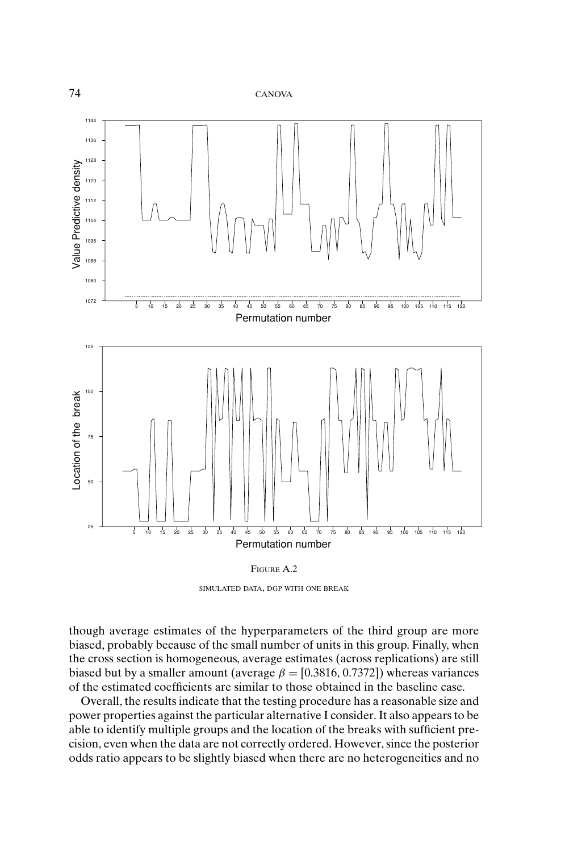

SIMULATED DATA, DGP WITH ONE BREAK

though average estimates of the hyperparameters of the third group are more biased, probably because of the small number of units in this group. Finally, when the cross section is homogeneous, average estimates (across replications) are still biased but by a smaller amount (average  $\beta = [0.3816, 0.7372]$ ) whereas variances of the estimated coefficients are similar to those obtained in the baseline case.

Overall, the results indicate that the testing procedure has a reasonable size and power properties against the particular alternative I consider. It also appears to be able to identify multiple groups and the location of the breaks with sufficient precision, even when the data are not correctly ordered. However, since the posterior odds ratio appears to be slightly biased when there are no heterogeneities and no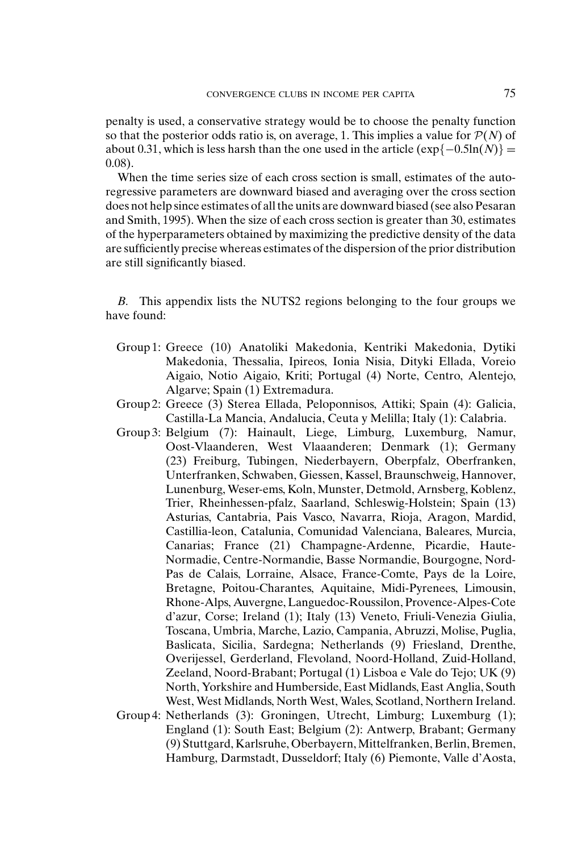penalty is used, a conservative strategy would be to choose the penalty function so that the posterior odds ratio is, on average, 1. This implies a value for  $P(N)$  of about 0.31, which is less harsh than the one used in the article  $(\exp\{-0.5\ln(N)\}$  = 0.08).

When the time series size of each cross section is small, estimates of the autoregressive parameters are downward biased and averaging over the cross section does not help since estimates of all the units are downward biased (see also Pesaran and Smith, 1995). When the size of each cross section is greater than 30, estimates of the hyperparameters obtained by maximizing the predictive density of the data are sufficiently precise whereas estimates of the dispersion of the prior distribution are still significantly biased.

*B.* This appendix lists the NUTS2 regions belonging to the four groups we have found:

- Group 1: Greece (10) Anatoliki Makedonia, Kentriki Makedonia, Dytiki Makedonia, Thessalia, Ipireos, Ionia Nisia, Dityki Ellada, Voreio Aigaio, Notio Aigaio, Kriti; Portugal (4) Norte, Centro, Alentejo, Algarve; Spain (1) Extremadura.
- Group 2: Greece (3) Sterea Ellada, Peloponnisos, Attiki; Spain (4): Galicia, Castilla-La Mancia, Andalucia, Ceuta y Melilla; Italy (1): Calabria.
- Group 3: Belgium (7): Hainault, Liege, Limburg, Luxemburg, Namur, Oost-Vlaanderen, West Vlaaanderen; Denmark (1); Germany (23) Freiburg, Tubingen, Niederbayern, Oberpfalz, Oberfranken, Unterfranken, Schwaben, Giessen, Kassel, Braunschweig, Hannover, Lunenburg, Weser-ems, Koln, Munster, Detmold, Arnsberg, Koblenz, Trier, Rheinhessen-pfalz, Saarland, Schleswig-Holstein; Spain (13) Asturias, Cantabria, Pais Vasco, Navarra, Rioja, Aragon, Mardid, Castillia-leon, Catalunia, Comunidad Valenciana, Baleares, Murcia, Canarias; France (21) Champagne-Ardenne, Picardie, Haute-Normadie, Centre-Normandie, Basse Normandie, Bourgogne, Nord-Pas de Calais, Lorraine, Alsace, France-Comte, Pays de la Loire, Bretagne, Poitou-Charantes, Aquitaine, Midi-Pyrenees, Limousin, Rhone-Alps, Auvergne, Languedoc-Roussilon, Provence-Alpes-Cote d'azur, Corse; Ireland (1); Italy (13) Veneto, Friuli-Venezia Giulia, Toscana, Umbria, Marche, Lazio, Campania, Abruzzi, Molise, Puglia, Baslicata, Sicilia, Sardegna; Netherlands (9) Friesland, Drenthe, Overijessel, Gerderland, Flevoland, Noord-Holland, Zuid-Holland, Zeeland, Noord-Brabant; Portugal (1) Lisboa e Vale do Tejo; UK (9) North, Yorkshire and Humberside, East Midlands, East Anglia, South West, West Midlands, North West, Wales, Scotland, Northern Ireland.
- Group 4: Netherlands (3): Groningen, Utrecht, Limburg; Luxemburg (1); England (1): South East; Belgium (2): Antwerp, Brabant; Germany (9) Stuttgard, Karlsruhe, Oberbayern, Mittelfranken, Berlin, Bremen, Hamburg, Darmstadt, Dusseldorf; Italy (6) Piemonte, Valle d'Aosta,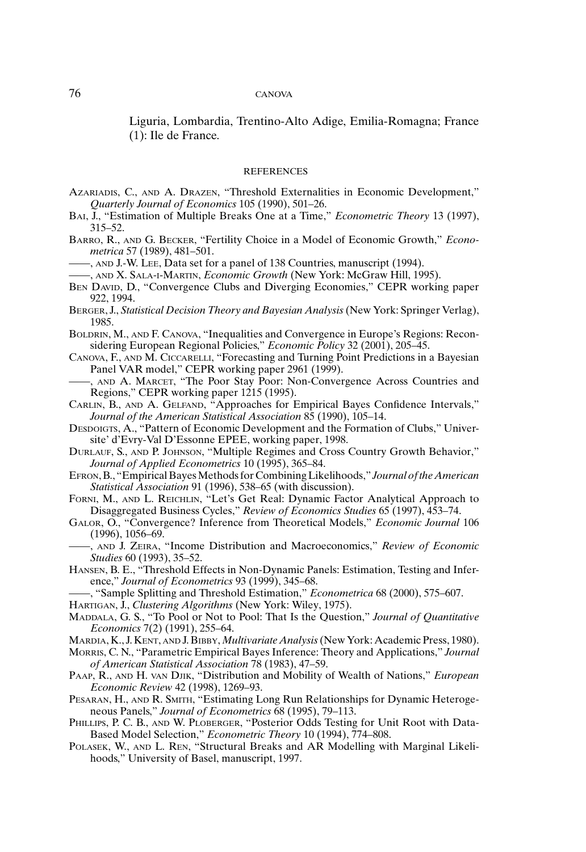Liguria, Lombardia, Trentino-Alto Adige, Emilia-Romagna; France (1): Ile de France.

#### **REFERENCES**

- AZARIADIS, C., AND A. DRAZEN, "Threshold Externalities in Economic Development," *Quarterly Journal of Economics* 105 (1990), 501–26.
- BAI, J., "Estimation of Multiple Breaks One at a Time," *Econometric Theory* 13 (1997), 315–52.
- BARRO, R., AND G. BECKER, "Fertility Choice in a Model of Economic Growth," *Econometrica* 57 (1989), 481–501.
- ——, AND J.-W. LEE, Data set for a panel of 138 Countries, manuscript (1994).
- ——, AND X. SALA-I-MARTIN, *Economic Growth* (New York: McGraw Hill, 1995).
- BEN DAVID, D., "Convergence Clubs and Diverging Economies," CEPR working paper 922, 1994.
- BERGER, J., *Statistical Decision Theory and Bayesian Analysis*(New York: Springer Verlag), 1985.
- BOLDRIN, M., AND F. CANOVA, "Inequalities and Convergence in Europe's Regions: Reconsidering European Regional Policies," *Economic Policy* 32 (2001), 205–45.
- CANOVA, F., AND M. CICCARELLI, "Forecasting and Turning Point Predictions in a Bayesian Panel VAR model," CEPR working paper 2961 (1999).
- ——, AND A. MARCET, "The Poor Stay Poor: Non-Convergence Across Countries and Regions," CEPR working paper 1215 (1995).
- CARLIN, B., AND A. GELFAND, "Approaches for Empirical Bayes Confidence Intervals," *Journal of the American Statistical Association* 85 (1990), 105–14.
- DESDOIGTS, A., "Pattern of Economic Development and the Formation of Clubs," Universite' d'Evry-Val D'Essonne EPEE, working paper, 1998.
- DURLAUF, S., AND P. JOHNSON, "Multiple Regimes and Cross Country Growth Behavior," *Journal of Applied Econometrics* 10 (1995), 365–84.
- EFRON, B., "Empirical Bayes Methods for Combining Likelihoods," *Journal of the American Statistical Association* 91 (1996), 538–65 (with discussion).
- FORNI, M., AND L. REICHLIN, "Let's Get Real: Dynamic Factor Analytical Approach to Disaggregated Business Cycles," *Review of Economics Studies* 65 (1997), 453–74.
- GALOR, O., "Convergence? Inference from Theoretical Models," *Economic Journal* 106 (1996), 1056–69.
- ——, AND J. ZEIRA, "Income Distribution and Macroeconomics," *Review of Economic Studies* 60 (1993), 35–52.
- HANSEN, B. E., "Threshold Effects in Non-Dynamic Panels: Estimation, Testing and Inference," *Journal of Econometrics* 93 (1999), 345–68.
- ——, "Sample Splitting and Threshold Estimation," *Econometrica* 68 (2000), 575–607.

HARTIGAN, J., *Clustering Algorithms* (New York: Wiley, 1975).

- MADDALA, G. S., "To Pool or Not to Pool: That Is the Question," *Journal of Quantitative Economics* 7(2) (1991), 255–64.
- MARDIA, K., J. KENT, AND J. BIBBY, *Multivariate Analysis*(New York: Academic Press, 1980).

MORRIS, C. N., "Parametric Empirical Bayes Inference: Theory and Applications," *Journal of American Statistical Association* 78 (1983), 47–59.

- PAAP, R., AND H. VAN DJIK, "Distribution and Mobility of Wealth of Nations," *European Economic Review* 42 (1998), 1269–93.
- PESARAN, H., AND R. SMITH, "Estimating Long Run Relationships for Dynamic Heterogeneous Panels," *Journal of Econometrics* 68 (1995), 79–113.
- PHILLIPS, P. C. B., AND W. PLOBERGER, "Posterior Odds Testing for Unit Root with Data-Based Model Selection," *Econometric Theory* 10 (1994), 774–808.
- POLASEK, W., AND L. REN, "Structural Breaks and AR Modelling with Marginal Likelihoods," University of Basel, manuscript, 1997.